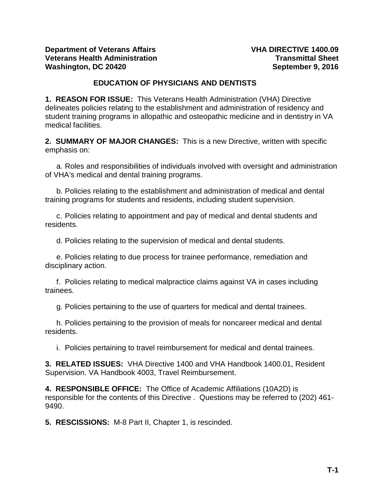### **EDUCATION OF PHYSICIANS AND DENTISTS**

<span id="page-0-0"></span>**1. REASON FOR ISSUE:** This Veterans Health Administration (VHA) Directive delineates policies relating to the establishment and administration of residency and student training programs in allopathic and osteopathic medicine and in dentistry in VA medical facilities.

**2. SUMMARY OF MAJOR CHANGES:** This is a new Directive, written with specific emphasis on:

a. Roles and responsibilities of individuals involved with oversight and administration of VHA's medical and dental training programs.

b. Policies relating to the establishment and administration of medical and dental training programs for students and residents, including student supervision.

c. Policies relating to appointment and pay of medical and dental students and residents.

d. Policies relating to the supervision of medical and dental students.

e. Policies relating to due process for trainee performance, remediation and disciplinary action.

f. Policies relating to medical malpractice claims against VA in cases including trainees.

g. Policies pertaining to the use of quarters for medical and dental trainees.

h. Policies pertaining to the provision of meals for noncareer medical and dental residents.

i. Policies pertaining to travel reimbursement for medical and dental trainees.

**3. RELATED ISSUES:** VHA Directive 1400 and VHA Handbook 1400.01, Resident Supervision. VA Handbook 4003, Travel Reimbursement.

**4. RESPONSIBLE OFFICE:** The Office of Academic Affiliations (10A2D) is responsible for the contents of this Directive . Questions may be referred to (202) 461- 9490.

**5. RESCISSIONS:** M-8 Part II, Chapter 1, is rescinded.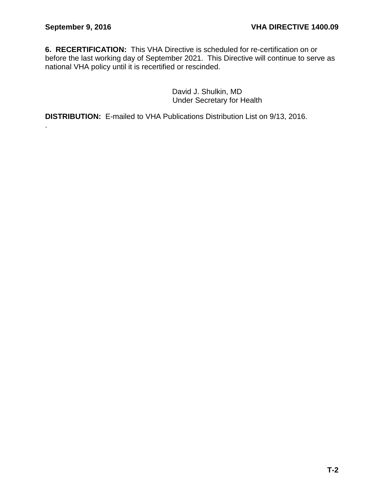.

**6. RECERTIFICATION:** This VHA Directive is scheduled for re-certification on or before the last working day of September 2021. This Directive will continue to serve as national VHA policy until it is recertified or rescinded.

> David J. Shulkin, MD Under Secretary for Health

**DISTRIBUTION:** E-mailed to VHA Publications Distribution List on 9/13, 2016.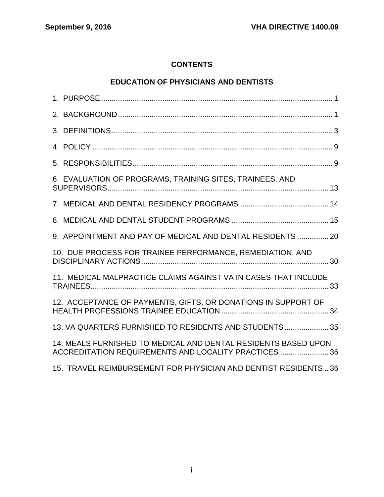# **CONTENTS**

# **[EDUCATION OF PHYSICIANS AND DENTISTS](#page-0-0)**

| 6. EVALUATION OF PROGRAMS, TRAINING SITES, TRAINEES, AND                                                                |
|-------------------------------------------------------------------------------------------------------------------------|
|                                                                                                                         |
|                                                                                                                         |
| 9. APPOINTMENT AND PAY OF MEDICAL AND DENTAL RESIDENTS  20                                                              |
| 10. DUE PROCESS FOR TRAINEE PERFORMANCE, REMEDIATION, AND                                                               |
| 11. MEDICAL MALPRACTICE CLAIMS AGAINST VA IN CASES THAT INCLUDE                                                         |
| 12. ACCEPTANCE OF PAYMENTS, GIFTS, OR DONATIONS IN SUPPORT OF                                                           |
| 13. VA QUARTERS FURNISHED TO RESIDENTS AND STUDENTS 35                                                                  |
| 14. MEALS FURNISHED TO MEDICAL AND DENTAL RESIDENTS BASED UPON<br>ACCREDITATION REQUIREMENTS AND LOCALITY PRACTICES  36 |
| 15. TRAVEL REIMBURSEMENT FOR PHYSICIAN AND DENTIST RESIDENTS 36                                                         |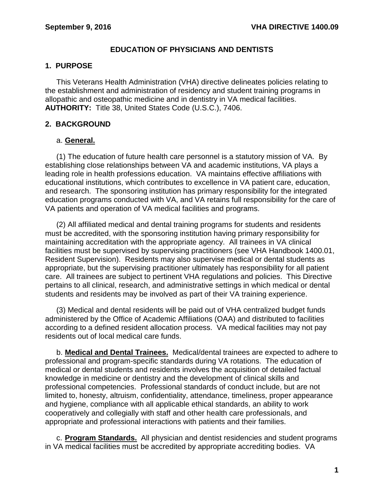## **EDUCATION OF PHYSICIANS AND DENTISTS**

## <span id="page-3-0"></span>**1. PURPOSE**

This Veterans Health Administration (VHA) directive delineates policies relating to the establishment and administration of residency and student training programs in allopathic and osteopathic medicine and in dentistry in VA medical facilities. **AUTHORITY:** Title 38, United States Code (U.S.C.), 7406.

## <span id="page-3-1"></span>**2. BACKGROUND**

## a. **General.**

(1) The education of future health care personnel is a statutory mission of VA. By establishing close relationships between VA and academic institutions, VA plays a leading role in health professions education. VA maintains effective affiliations with educational institutions, which contributes to excellence in VA patient care, education, and research. The sponsoring institution has primary responsibility for the integrated education programs conducted with VA, and VA retains full responsibility for the care of VA patients and operation of VA medical facilities and programs.

(2) All affiliated medical and dental training programs for students and residents must be accredited, with the sponsoring institution having primary responsibility for maintaining accreditation with the appropriate agency. All trainees in VA clinical facilities must be supervised by supervising practitioners (see VHA Handbook 1400.01, Resident Supervision). Residents may also supervise medical or dental students as appropriate, but the supervising practitioner ultimately has responsibility for all patient care. All trainees are subject to pertinent VHA regulations and policies. This Directive pertains to all clinical, research, and administrative settings in which medical or dental students and residents may be involved as part of their VA training experience.

(3) Medical and dental residents will be paid out of VHA centralized budget funds administered by the Office of Academic Affiliations (OAA) and distributed to facilities according to a defined resident allocation process. VA medical facilities may not pay residents out of local medical care funds.

b. **Medical and Dental Trainees.** Medical/dental trainees are expected to adhere to professional and program-specific standards during VA rotations. The education of medical or dental students and residents involves the acquisition of detailed factual knowledge in medicine or dentistry and the development of clinical skills and professional competencies. Professional standards of conduct include, but are not limited to, honesty, altruism, confidentiality, attendance, timeliness, proper appearance and hygiene, compliance with all applicable ethical standards, an ability to work cooperatively and collegially with staff and other health care professionals, and appropriate and professional interactions with patients and their families.

c. **Program Standards.** All physician and dentist residencies and student programs in VA medical facilities must be accredited by appropriate accrediting bodies. VA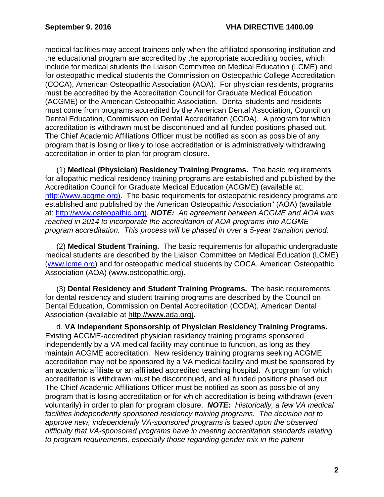medical facilities may accept trainees only when the affiliated sponsoring institution and the educational program are accredited by the appropriate accrediting bodies, which include for medical students the Liaison Committee on Medical Education (LCME) and for osteopathic medical students the Commission on Osteopathic College Accreditation (COCA), American Osteopathic Association (AOA). For physician residents, programs must be accredited by the Accreditation Council for Graduate Medical Education (ACGME) or the American Osteopathic Association. Dental students and residents must come from programs accredited by the American Dental Association, Council on Dental Education, Commission on Dental Accreditation (CODA). A program for which accreditation is withdrawn must be discontinued and all funded positions phased out. The Chief Academic Affiliations Officer must be notified as soon as possible of any program that is losing or likely to lose accreditation or is administratively withdrawing accreditation in order to plan for program closure.

(1) **Medical (Physician) Residency Training Programs.** The basic requirements for allopathic medical residency training programs are established and published by the Accreditation Council for Graduate Medical Education (ACGME) (available at: [http://www.acgme.org\)](http://www.acgme.org/). The basic requirements for osteopathic residency programs are established and published by the American Osteopathic Association" (AOA) (available at: [http://www.osteopathic.org\)](http://www.osteopathic.org/). *NOTE: An agreement between ACGME and AOA was reached in 2014 to incorporate the accreditation of AOA programs into ACGME program accreditation. This process will be phased in over a 5-year transition period.*

(2) **Medical Student Training.** The basic requirements for allopathic undergraduate medical students are described by the Liaison Committee on Medical Education (LCME) [\(www.lcme.org\)](http://www.lcme.org/) and for osteopathic medical students by COCA, American Osteopathic Association (AOA) (www.osteopathic.org).

(3) **Dental Residency and Student Training Programs.** The basic requirements for dental residency and student training programs are described by the Council on Dental Education, Commission on Dental Accreditation (CODA), American Dental Association (available at [http://www.ada.org\)](http://www.ada.org/).

d. **VA Independent Sponsorship of Physician Residency Training Programs.** Existing ACGME-accredited physician residency training programs sponsored independently by a VA medical facility may continue to function, as long as they maintain ACGME accreditation. New residency training programs seeking ACGME accreditation may not be sponsored by a VA medical facility and must be sponsored by an academic affiliate or an affiliated accredited teaching hospital. A program for which accreditation is withdrawn must be discontinued, and all funded positions phased out. The Chief Academic Affiliations Officer must be notified as soon as possible of any program that is losing accreditation or for which accreditation is being withdrawn (even voluntarily) in order to plan for program closure. *NOTE: Historically, a few VA medical facilities independently sponsored residency training programs. The decision not to approve new, independently VA-sponsored programs is based upon the observed difficulty that VA-sponsored programs have in meeting accreditation standards relating to program requirements, especially those regarding gender mix in the patient*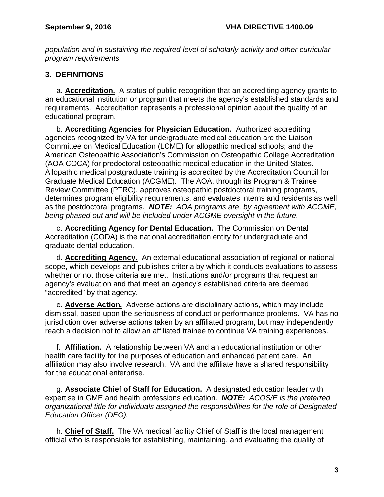*population and in sustaining the required level of scholarly activity and other curricular program requirements.*

# <span id="page-5-0"></span>**3. DEFINITIONS**

a. **Accreditation.** A status of public recognition that an accrediting agency grants to an educational institution or program that meets the agency's established standards and requirements. Accreditation represents a professional opinion about the quality of an educational program.

b. **Accrediting Agencies for Physician Education.** Authorized accrediting agencies recognized by VA for undergraduate medical education are the Liaison Committee on Medical Education (LCME) for allopathic medical schools; and the American Osteopathic Association's Commission on Osteopathic College Accreditation (AOA COCA) for predoctoral osteopathic medical education in the United States. Allopathic medical postgraduate training is accredited by the Accreditation Council for Graduate Medical Education (ACGME). The AOA, through its Program & Trainee Review Committee (PTRC), approves osteopathic postdoctoral training programs, determines program eligibility requirements, and evaluates interns and residents as well as the postdoctoral programs. *NOTE: AOA programs are, by agreement with ACGME, being phased out and will be included under ACGME oversight in the future.*

c. **Accrediting Agency for Dental Education.** The Commission on Dental Accreditation (CODA) is the national accreditation entity for undergraduate and graduate dental education.

d. **Accrediting Agency.** An external educational association of regional or national scope, which develops and publishes criteria by which it conducts evaluations to assess whether or not those criteria are met. Institutions and/or programs that request an agency's evaluation and that meet an agency's established criteria are deemed "accredited" by that agency.

e. **Adverse Action.** Adverse actions are disciplinary actions, which may include dismissal, based upon the seriousness of conduct or performance problems. VA has no jurisdiction over adverse actions taken by an affiliated program, but may independently reach a decision not to allow an affiliated trainee to continue VA training experiences.

f. **Affiliation.** A relationship between VA and an educational institution or other health care facility for the purposes of education and enhanced patient care. An affiliation may also involve research. VA and the affiliate have a shared responsibility for the educational enterprise.

g. **Associate Chief of Staff for Education.** A designated education leader with expertise in GME and health professions education. *NOTE: ACOS/E is the preferred organizational title for individuals assigned the responsibilities for the role of Designated Education Officer (DEO).* 

h. **Chief of Staff.** The VA medical facility Chief of Staff is the local management official who is responsible for establishing, maintaining, and evaluating the quality of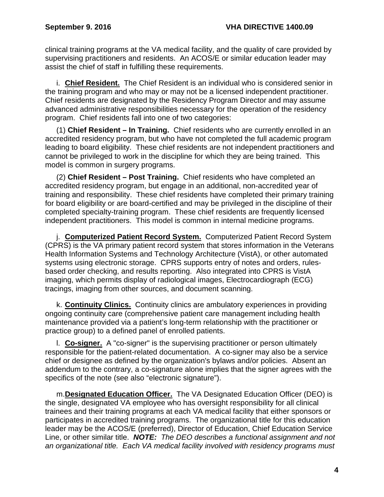clinical training programs at the VA medical facility, and the quality of care provided by supervising practitioners and residents. An ACOS/E or similar education leader may assist the chief of staff in fulfilling these requirements.

i. **Chief Resident.** The Chief Resident is an individual who is considered senior in the training program and who may or may not be a licensed independent practitioner. Chief residents are designated by the Residency Program Director and may assume advanced administrative responsibilities necessary for the operation of the residency program. Chief residents fall into one of two categories:

(1) **Chief Resident – In Training.** Chief residents who are currently enrolled in an accredited residency program, but who have not completed the full academic program leading to board eligibility. These chief residents are not independent practitioners and cannot be privileged to work in the discipline for which they are being trained. This model is common in surgery programs.

(2) **Chief Resident – Post Training.** Chief residents who have completed an accredited residency program, but engage in an additional, non-accredited year of training and responsibility. These chief residents have completed their primary training for board eligibility or are board-certified and may be privileged in the discipline of their completed specialty-training program. These chief residents are frequently licensed independent practitioners. This model is common in internal medicine programs.

j. **Computerized Patient Record System.** Computerized Patient Record System (CPRS) is the VA primary patient record system that stores information in the Veterans Health Information Systems and Technology Architecture (VistA), or other automated systems using electronic storage. CPRS supports entry of notes and orders, rulesbased order checking, and results reporting. Also integrated into CPRS is VistA imaging, which permits display of radiological images, Electrocardiograph (ECG) tracings, imaging from other sources, and document scanning.

k. **Continuity Clinics.** Continuity clinics are ambulatory experiences in providing ongoing continuity care (comprehensive patient care management including health maintenance provided via a patient's long-term relationship with the practitioner or practice group) to a defined panel of enrolled patients.

l. **Co-signer.** A "co-signer" is the supervising practitioner or person ultimately responsible for the patient-related documentation. A co-signer may also be a service chief or designee as defined by the organization's bylaws and/or policies. Absent an addendum to the contrary, a co-signature alone implies that the signer agrees with the specifics of the note (see also "electronic signature").

m.**Designated Education Officer.** The VA Designated Education Officer (DEO) is the single, designated VA employee who has oversight responsibility for all clinical trainees and their training programs at each VA medical facility that either sponsors or participates in accredited training programs. The organizational title for this education leader may be the ACOS/E (preferred), Director of Education, Chief Education Service Line, or other similar title. *NOTE: The DEO describes a functional assignment and not an organizational title. Each VA medical facility involved with residency programs must*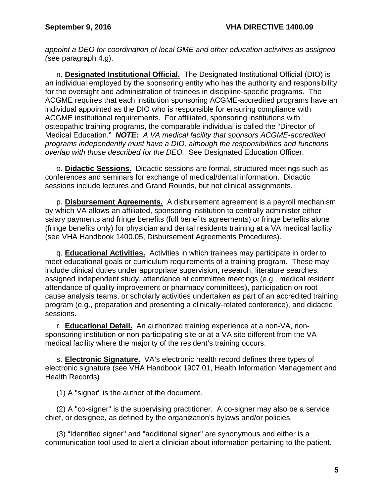*appoint a DEO for coordination of local GME and other education activities as assigned (*see paragraph 4.g).

n. **Designated Institutional Official.** The Designated Institutional Official (DIO) is an individual employed by the sponsoring entity who has the authority and responsibility for the oversight and administration of trainees in discipline-specific programs. The ACGME requires that each institution sponsoring ACGME-accredited programs have an individual appointed as the DIO who is responsible for ensuring compliance with ACGME institutional requirements. For affiliated, sponsoring institutions with osteopathic training programs, the comparable individual is called the "Director of Medical Education." *NOTE: A VA medical facility that sponsors ACGME-accredited programs independently must have a DIO, although the responsibilities and functions overlap with those described for the DEO.* See Designated Education Officer.

o. **Didactic Sessions.** Didactic sessions are formal, structured meetings such as conferences and seminars for exchange of medical/dental information. Didactic sessions include lectures and Grand Rounds, but not clinical assignments.

p. **Disbursement Agreements.** A disbursement agreement is a payroll mechanism by which VA allows an affiliated, sponsoring institution to centrally administer either salary payments and fringe benefits (full benefits agreements) or fringe benefits alone (fringe benefits only) for physician and dental residents training at a VA medical facility (see VHA Handbook 1400.05, Disbursement Agreements Procedures).

q. **Educational Activities.** Activities in which trainees may participate in order to meet educational goals or curriculum requirements of a training program. These may include clinical duties under appropriate supervision, research, literature searches, assigned independent study, attendance at committee meetings (e.g., medical resident attendance of quality improvement or pharmacy committees), participation on root cause analysis teams, or scholarly activities undertaken as part of an accredited training program (e.g., preparation and presenting a clinically-related conference), and didactic sessions.

r. **Educational Detail.** An authorized training experience at a non-VA, nonsponsoring institution or non-participating site or at a VA site different from the VA medical facility where the majority of the resident's training occurs.

s. **Electronic Signature.** VA's electronic health record defines three types of electronic signature (see VHA Handbook 1907.01, Health Information Management and Health Records)

(1) A "signer" is the author of the document.

(2) A "co-signer" is the supervising practitioner. A co-signer may also be a service chief, or designee, as defined by the organization's bylaws and/or policies.

(3) "Identified signer" and "additional signer" are synonymous and either is a communication tool used to alert a clinician about information pertaining to the patient.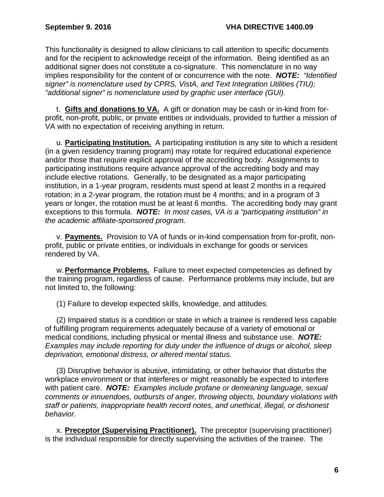This functionality is designed to allow clinicians to call attention to specific documents and for the recipient to acknowledge receipt of the information. Being identified as an additional signer does not constitute a co-signature. This nomenclature in no way implies responsibility for the content of or concurrence with the note. *NOTE: "Identified signer" is nomenclature used by CPRS, VistA, and Text Integration Utilities (TIU); "additional signer" is nomenclature used by graphic user interface (GUI).*

t. **Gifts and donations to VA.** A gift or donation may be cash or in-kind from forprofit, non-profit, public, or private entities or individuals, provided to further a mission of VA with no expectation of receiving anything in return.

u. **Participating Institution.** A participating institution is any site to which a resident (in a given residency training program) may rotate for required educational experience and/or those that require explicit approval of the accrediting body. Assignments to participating institutions require advance approval of the accrediting body and may include elective rotations. Generally, to be designated as a major participating institution, in a 1-year program, residents must spend at least 2 months in a required rotation; in a 2-year program, the rotation must be 4 months; and in a program of 3 years or longer, the rotation must be at least 6 months. The accrediting body may grant exceptions to this formula. *NOTE: In most cases, VA is a "participating institution" in the academic affiliate-sponsored program.* 

v. **Payments.** Provision to VA of funds or in-kind compensation from for-profit, nonprofit, public or private entities, or individuals in exchange for goods or services rendered by VA.

w.**Performance Problems.** Failure to meet expected competencies as defined by the training program, regardless of cause. Performance problems may include, but are not limited to, the following:

(1) Failure to develop expected skills, knowledge, and attitudes.

(2) Impaired status is a condition or state in which a trainee is rendered less capable of fulfilling program requirements adequately because of a variety of emotional or medical conditions, including physical or mental illness and substance use. *NOTE: Examples may include reporting for duty under the influence of drugs or alcohol, sleep deprivation, emotional distress, or altered mental status.* 

(3) Disruptive behavior is abusive, intimidating, or other behavior that disturbs the workplace environment or that interferes or might reasonably be expected to interfere with patient care. *NOTE: Examples include profane or demeaning language, sexual comments or innuendoes, outbursts of anger, throwing objects, boundary violations with staff or patients, inappropriate health record notes, and unethical, illegal, or dishonest behavior.*

x. **Preceptor (Supervising Practitioner).** The preceptor (supervising practitioner) is the individual responsible for directly supervising the activities of the trainee. The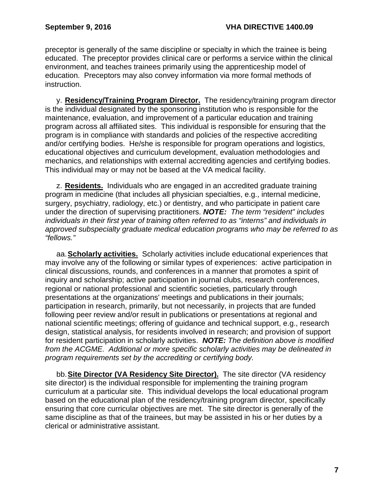preceptor is generally of the same discipline or specialty in which the trainee is being educated. The preceptor provides clinical care or performs a service within the clinical environment, and teaches trainees primarily using the apprenticeship model of education. Preceptors may also convey information via more formal methods of instruction.

y. **Residency/Training Program Director.** The residency/training program director is the individual designated by the sponsoring institution who is responsible for the maintenance, evaluation, and improvement of a particular education and training program across all affiliated sites. This individual is responsible for ensuring that the program is in compliance with standards and policies of the respective accrediting and/or certifying bodies. He/she is responsible for program operations and logistics, educational objectives and curriculum development, evaluation methodologies and mechanics, and relationships with external accrediting agencies and certifying bodies. This individual may or may not be based at the VA medical facility.

z. **Residents.** Individuals who are engaged in an accredited graduate training program in medicine (that includes all physician specialties, e.g., internal medicine, surgery, psychiatry, radiology, etc.) or dentistry, and who participate in patient care under the direction of supervising practitioners. *NOTE: The term "resident" includes individuals in their first year of training often referred to as "interns" and individuals in approved subspecialty graduate medical education programs who may be referred to as "fellows."*

aa.**Scholarly activities.** Scholarly activities include educational experiences that may involve any of the following or similar types of experiences: active participation in clinical discussions, rounds, and conferences in a manner that promotes a spirit of inquiry and scholarship; active participation in journal clubs, research conferences, regional or national professional and scientific societies, particularly through presentations at the organizations' meetings and publications in their journals; participation in research, primarily, but not necessarily, in projects that are funded following peer review and/or result in publications or presentations at regional and national scientific meetings; offering of guidance and technical support, e.g., research design, statistical analysis, for residents involved in research; and provision of support for resident participation in scholarly activities. *NOTE: The definition above is modified from the ACGME. Additional or more specific scholarly activities may be delineated in program requirements set by the accrediting or certifying body.*

bb.**Site Director (VA Residency Site Director).** The site director (VA residency site director) is the individual responsible for implementing the training program curriculum at a particular site. This individual develops the local educational program based on the educational plan of the residency/training program director, specifically ensuring that core curricular objectives are met. The site director is generally of the same discipline as that of the trainees, but may be assisted in his or her duties by a clerical or administrative assistant.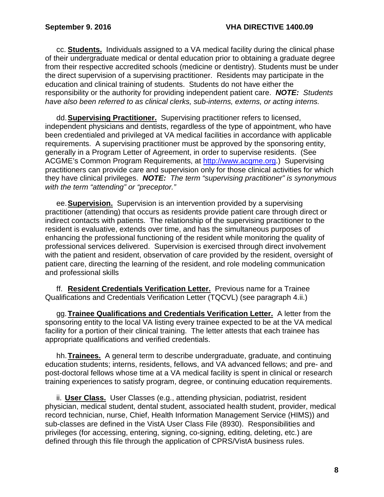cc. **Students.** Individuals assigned to a VA medical facility during the clinical phase of their undergraduate medical or dental education prior to obtaining a graduate degree from their respective accredited schools (medicine or dentistry). Students must be under the direct supervision of a supervising practitioner. Residents may participate in the education and clinical training of students. Students do not have either the responsibility or the authority for providing independent patient care. *NOTE: Students have also been referred to as clinical clerks, sub-interns, externs, or acting interns.*

dd.**Supervising Practitioner.** Supervising practitioner refers to licensed, independent physicians and dentists, regardless of the type of appointment, who have been credentialed and privileged at VA medical facilities in accordance with applicable requirements. A supervising practitioner must be approved by the sponsoring entity, generally in a Program Letter of Agreement, in order to supervise residents. (See ACGME's Common Program Requirements, at [http://www.acgme.org.](http://www.acgme.org/)) Supervising practitioners can provide care and supervision only for those clinical activities for which they have clinical privileges. *NOTE: The term "supervising practitioner" is synonymous with the term "attending" or "preceptor."*

ee.**Supervision.** Supervision is an intervention provided by a supervising practitioner (attending) that occurs as residents provide patient care through direct or indirect contacts with patients. The relationship of the supervising practitioner to the resident is evaluative, extends over time, and has the simultaneous purposes of enhancing the professional functioning of the resident while monitoring the quality of professional services delivered. Supervision is exercised through direct involvement with the patient and resident, observation of care provided by the resident, oversight of patient care, directing the learning of the resident, and role modeling communication and professional skills

ff. **Resident Credentials Verification Letter.** Previous name for a Trainee Qualifications and Credentials Verification Letter (TQCVL) (see paragraph 4.ii.)

gg.**Trainee Qualifications and Credentials Verification Letter.** A letter from the sponsoring entity to the local VA listing every trainee expected to be at the VA medical facility for a portion of their clinical training. The letter attests that each trainee has appropriate qualifications and verified credentials.

hh.**Trainees.** A general term to describe undergraduate, graduate, and continuing education students; interns, residents, fellows, and VA advanced fellows; and pre- and post-doctoral fellows whose time at a VA medical facility is spent in clinical or research training experiences to satisfy program, degree, or continuing education requirements.

ii. **User Class.** User Classes (e.g., attending physician, podiatrist, resident physician, medical student, dental student, associated health student, provider, medical record technician, nurse, Chief, Health Information Management Service (HIMS)) and sub-classes are defined in the VistA User Class File (8930). Responsibilities and privileges (for accessing, entering, signing, co-signing, editing, deleting, etc.) are defined through this file through the application of CPRS/VistA business rules.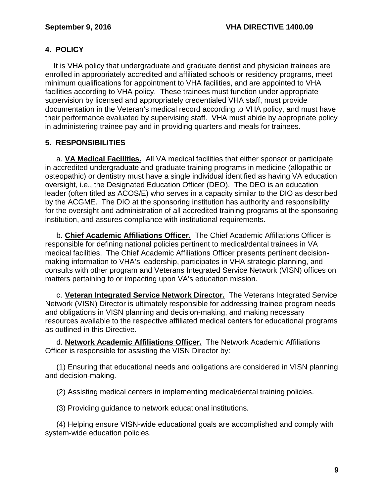# <span id="page-11-0"></span>**4. POLICY**

It is VHA policy that undergraduate and graduate dentist and physician trainees are enrolled in appropriately accredited and affiliated schools or residency programs, meet minimum qualifications for appointment to VHA facilities, and are appointed to VHA facilities according to VHA policy. These trainees must function under appropriate supervision by licensed and appropriately credentialed VHA staff, must provide documentation in the Veteran's medical record according to VHA policy, and must have their performance evaluated by supervising staff. VHA must abide by appropriate policy in administering trainee pay and in providing quarters and meals for trainees.

# <span id="page-11-1"></span>**5. RESPONSIBILITIES**

a. **VA Medical Facilities.** All VA medical facilities that either sponsor or participate in accredited undergraduate and graduate training programs in medicine (allopathic or osteopathic) or dentistry must have a single individual identified as having VA education oversight, i.e., the Designated Education Officer (DEO). The DEO is an education leader (often titled as ACOS/E) who serves in a capacity similar to the DIO as described by the ACGME. The DIO at the sponsoring institution has authority and responsibility for the oversight and administration of all accredited training programs at the sponsoring institution, and assures compliance with institutional requirements.

b. **Chief Academic Affiliations Officer.** The Chief Academic Affiliations Officer is responsible for defining national policies pertinent to medical/dental trainees in VA medical facilities. The Chief Academic Affiliations Officer presents pertinent decisionmaking information to VHA's leadership, participates in VHA strategic planning, and consults with other program and Veterans Integrated Service Network (VISN) offices on matters pertaining to or impacting upon VA's education mission.

c. **Veteran Integrated Service Network Director.** The Veterans Integrated Service Network (VISN) Director is ultimately responsible for addressing trainee program needs and obligations in VISN planning and decision-making, and making necessary resources available to the respective affiliated medical centers for educational programs as outlined in this Directive.

d. **Network Academic Affiliations Officer.** The Network Academic Affiliations Officer is responsible for assisting the VISN Director by:

(1) Ensuring that educational needs and obligations are considered in VISN planning and decision-making.

(2) Assisting medical centers in implementing medical/dental training policies.

(3) Providing guidance to network educational institutions.

(4) Helping ensure VISN-wide educational goals are accomplished and comply with system-wide education policies.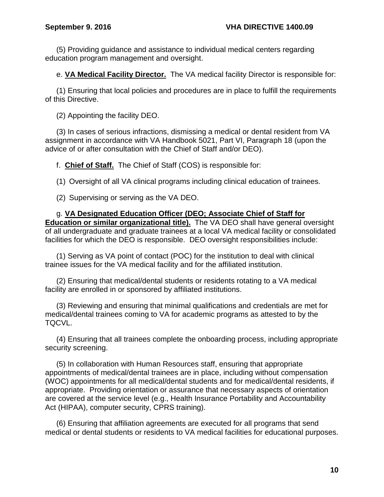(5) Providing guidance and assistance to individual medical centers regarding education program management and oversight.

e. **VA Medical Facility Director.** The VA medical facility Director is responsible for:

(1) Ensuring that local policies and procedures are in place to fulfill the requirements of this Directive.

(2) Appointing the facility DEO.

(3) In cases of serious infractions, dismissing a medical or dental resident from VA assignment in accordance with VA Handbook 5021, Part VI, Paragraph 18 (upon the advice of or after consultation with the Chief of Staff and/or DEO).

f. **Chief of Staff.** The Chief of Staff (COS) is responsible for:

(1) Oversight of all VA clinical programs including clinical education of trainees.

(2) Supervising or serving as the VA DEO.

g. **VA Designated Education Officer (DEO; Associate Chief of Staff for Education or similar organizational title).** The VA DEO shall have general oversight of all undergraduate and graduate trainees at a local VA medical facility or consolidated facilities for which the DEO is responsible. DEO oversight responsibilities include:

(1) Serving as VA point of contact (POC) for the institution to deal with clinical trainee issues for the VA medical facility and for the affiliated institution.

(2) Ensuring that medical/dental students or residents rotating to a VA medical facility are enrolled in or sponsored by affiliated institutions.

(3) Reviewing and ensuring that minimal qualifications and credentials are met for medical/dental trainees coming to VA for academic programs as attested to by the TQCVL.

(4) Ensuring that all trainees complete the onboarding process, including appropriate security screening.

(5) In collaboration with Human Resources staff, ensuring that appropriate appointments of medical/dental trainees are in place, including without compensation (WOC) appointments for all medical/dental students and for medical/dental residents, if appropriate. Providing orientation or assurance that necessary aspects of orientation are covered at the service level (e.g., Health Insurance Portability and Accountability Act (HIPAA), computer security, CPRS training).

(6) Ensuring that affiliation agreements are executed for all programs that send medical or dental students or residents to VA medical facilities for educational purposes.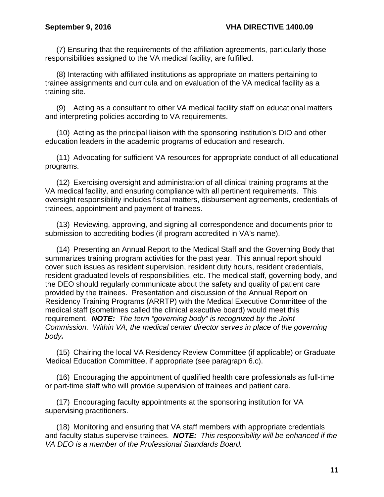(7) Ensuring that the requirements of the affiliation agreements, particularly those responsibilities assigned to the VA medical facility, are fulfilled.

(8) Interacting with affiliated institutions as appropriate on matters pertaining to trainee assignments and curricula and on evaluation of the VA medical facility as a training site.

(9) Acting as a consultant to other VA medical facility staff on educational matters and interpreting policies according to VA requirements.

(10) Acting as the principal liaison with the sponsoring institution's DIO and other education leaders in the academic programs of education and research.

(11) Advocating for sufficient VA resources for appropriate conduct of all educational programs.

(12) Exercising oversight and administration of all clinical training programs at the VA medical facility, and ensuring compliance with all pertinent requirements. This oversight responsibility includes fiscal matters, disbursement agreements, credentials of trainees, appointment and payment of trainees.

(13) Reviewing, approving, and signing all correspondence and documents prior to submission to accrediting bodies (if program accredited in VA's name).

(14) Presenting an Annual Report to the Medical Staff and the Governing Body that summarizes training program activities for the past year. This annual report should cover such issues as resident supervision, resident duty hours, resident credentials, resident graduated levels of responsibilities, etc. The medical staff, governing body, and the DEO should regularly communicate about the safety and quality of patient care provided by the trainees. Presentation and discussion of the Annual Report on Residency Training Programs (ARRTP) with the Medical Executive Committee of the medical staff (sometimes called the clinical executive board) would meet this requirement*. NOTE: The term "governing body" is recognized by the Joint Commission. Within VA, the medical center director serves in place of the governing body.*

(15) Chairing the local VA Residency Review Committee (if applicable) or Graduate Medical Education Committee, if appropriate (see paragraph 6.c).

(16) Encouraging the appointment of qualified health care professionals as full-time or part-time staff who will provide supervision of trainees and patient care.

(17) Encouraging faculty appointments at the sponsoring institution for VA supervising practitioners.

(18) Monitoring and ensuring that VA staff members with appropriate credentials and faculty status supervise trainees. *NOTE: This responsibility will be enhanced if the VA DEO is a member of the Professional Standards Board.*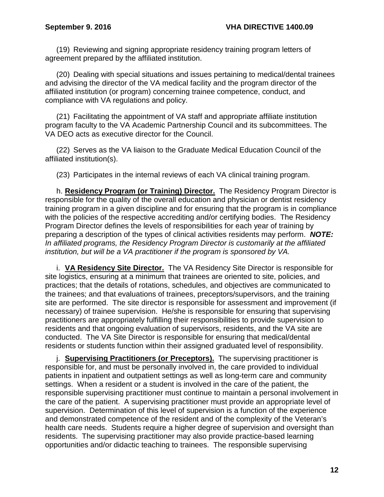(19) Reviewing and signing appropriate residency training program letters of agreement prepared by the affiliated institution.

(20) Dealing with special situations and issues pertaining to medical/dental trainees and advising the director of the VA medical facility and the program director of the affiliated institution (or program) concerning trainee competence, conduct, and compliance with VA regulations and policy.

(21) Facilitating the appointment of VA staff and appropriate affiliate institution program faculty to the VA Academic Partnership Council and its subcommittees. The VA DEO acts as executive director for the Council.

(22) Serves as the VA liaison to the Graduate Medical Education Council of the affiliated institution(s).

(23) Participates in the internal reviews of each VA clinical training program.

h. **Residency Program (or Training) Director.** The Residency Program Director is responsible for the quality of the overall education and physician or dentist residency training program in a given discipline and for ensuring that the program is in compliance with the policies of the respective accrediting and/or certifying bodies. The Residency Program Director defines the levels of responsibilities for each year of training by preparing a description of the types of clinical activities residents may perform. *NOTE: In affiliated programs, the Residency Program Director is customarily at the affiliated institution, but will be a VA practitioner if the program is sponsored by VA.*

i. **VA Residency Site Director.** The VA Residency Site Director is responsible for site logistics, ensuring at a minimum that trainees are oriented to site, policies, and practices; that the details of rotations, schedules, and objectives are communicated to the trainees; and that evaluations of trainees, preceptors/supervisors, and the training site are performed. The site director is responsible for assessment and improvement (if necessary) of trainee supervision. He/she is responsible for ensuring that supervising practitioners are appropriately fulfilling their responsibilities to provide supervision to residents and that ongoing evaluation of supervisors, residents, and the VA site are conducted. The VA Site Director is responsible for ensuring that medical/dental residents or students function within their assigned graduated level of responsibility.

j. **Supervising Practitioners (or Preceptors).** The supervising practitioner is responsible for, and must be personally involved in, the care provided to individual patients in inpatient and outpatient settings as well as long-term care and community settings. When a resident or a student is involved in the care of the patient, the responsible supervising practitioner must continue to maintain a personal involvement in the care of the patient. A supervising practitioner must provide an appropriate level of supervision. Determination of this level of supervision is a function of the experience and demonstrated competence of the resident and of the complexity of the Veteran's health care needs. Students require a higher degree of supervision and oversight than residents. The supervising practitioner may also provide practice-based learning opportunities and/or didactic teaching to trainees. The responsible supervising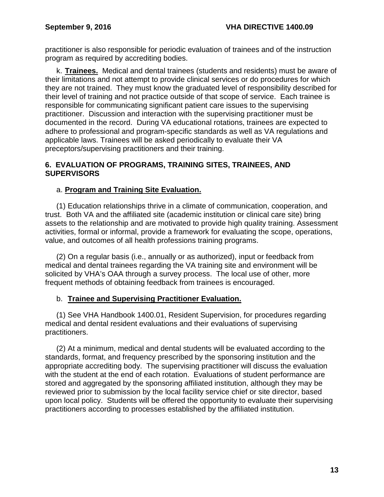practitioner is also responsible for periodic evaluation of trainees and of the instruction program as required by accrediting bodies.

k. **Trainees.** Medical and dental trainees (students and residents) must be aware of their limitations and not attempt to provide clinical services or do procedures for which they are not trained. They must know the graduated level of responsibility described for their level of training and not practice outside of that scope of service. Each trainee is responsible for communicating significant patient care issues to the supervising practitioner. Discussion and interaction with the supervising practitioner must be documented in the record. During VA educational rotations, trainees are expected to adhere to professional and program-specific standards as well as VA regulations and applicable laws. Trainees will be asked periodically to evaluate their VA preceptors/supervising practitioners and their training.

## <span id="page-15-0"></span>**6. EVALUATION OF PROGRAMS, TRAINING SITES, TRAINEES, AND SUPERVISORS**

# a. **Program and Training Site Evaluation.**

(1) Education relationships thrive in a climate of communication, cooperation, and trust. Both VA and the affiliated site (academic institution or clinical care site) bring assets to the relationship and are motivated to provide high quality training. Assessment activities, formal or informal, provide a framework for evaluating the scope, operations, value, and outcomes of all health professions training programs.

(2) On a regular basis (i.e., annually or as authorized), input or feedback from medical and dental trainees regarding the VA training site and environment will be solicited by VHA's OAA through a survey process. The local use of other, more frequent methods of obtaining feedback from trainees is encouraged.

# b. **Trainee and Supervising Practitioner Evaluation.**

(1) See VHA Handbook 1400.01, Resident Supervision, for procedures regarding medical and dental resident evaluations and their evaluations of supervising practitioners.

<span id="page-15-1"></span>(2) At a minimum, medical and dental students will be evaluated according to the standards, format, and frequency prescribed by the sponsoring institution and the appropriate accrediting body. The supervising practitioner will discuss the evaluation with the student at the end of each rotation. Evaluations of student performance are stored and aggregated by the sponsoring affiliated institution, although they may be reviewed prior to submission by the local facility service chief or site director, based upon local policy. Students will be offered the opportunity to evaluate their supervising practitioners according to processes established by the affiliated institution.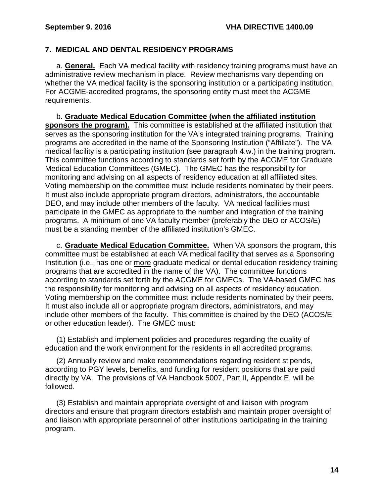## **7. MEDICAL AND DENTAL RESIDENCY PROGRAMS**

a. **General.** Each VA medical facility with residency training programs must have an administrative review mechanism in place. Review mechanisms vary depending on whether the VA medical facility is the sponsoring institution or a participating institution. For ACGME-accredited programs, the sponsoring entity must meet the ACGME requirements.

b. **Graduate Medical Education Committee (when the affiliated institution**  sponsors the program). This committee is established at the affiliated institution that serves as the sponsoring institution for the VA's integrated training programs. Training programs are accredited in the name of the Sponsoring Institution ("Affiliate"). The VA medical facility is a participating institution (see paragraph 4.w.) in the training program. This committee functions according to standards set forth by the ACGME for Graduate Medical Education Committees (GMEC). The GMEC has the responsibility for monitoring and advising on all aspects of residency education at all affiliated sites. Voting membership on the committee must include residents nominated by their peers. It must also include appropriate program directors, administrators, the accountable DEO, and may include other members of the faculty. VA medical facilities must participate in the GMEC as appropriate to the number and integration of the training programs. A minimum of one VA faculty member (preferably the DEO or ACOS/E) must be a standing member of the affiliated institution's GMEC.

c. **Graduate Medical Education Committee.** When VA sponsors the program, this committee must be established at each VA medical facility that serves as a Sponsoring Institution (i.e., has one or more graduate medical or dental education residency training programs that are accredited in the name of the VA). The committee functions according to standards set forth by the ACGME for GMECs. The VA-based GMEC has the responsibility for monitoring and advising on all aspects of residency education. Voting membership on the committee must include residents nominated by their peers. It must also include all or appropriate program directors, administrators, and may include other members of the faculty. This committee is chaired by the DEO (ACOS/E or other education leader). The GMEC must:

(1) Establish and implement policies and procedures regarding the quality of education and the work environment for the residents in all accredited programs.

(2) Annually review and make recommendations regarding resident stipends, according to PGY levels, benefits, and funding for resident positions that are paid directly by VA. The provisions of VA Handbook 5007, Part II, Appendix E, will be followed.

(3) Establish and maintain appropriate oversight of and liaison with program directors and ensure that program directors establish and maintain proper oversight of and liaison with appropriate personnel of other institutions participating in the training program.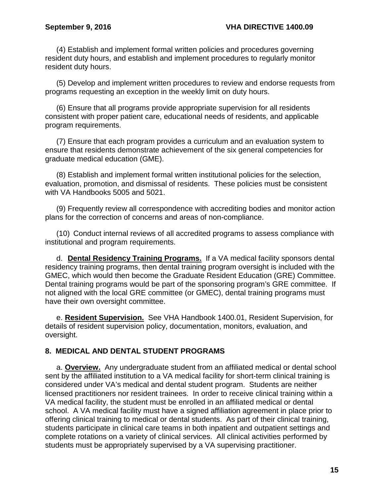(4) Establish and implement formal written policies and procedures governing resident duty hours, and establish and implement procedures to regularly monitor resident duty hours.

(5) Develop and implement written procedures to review and endorse requests from programs requesting an exception in the weekly limit on duty hours.

(6) Ensure that all programs provide appropriate supervision for all residents consistent with proper patient care, educational needs of residents, and applicable program requirements.

(7) Ensure that each program provides a curriculum and an evaluation system to ensure that residents demonstrate achievement of the six general competencies for graduate medical education (GME).

(8) Establish and implement formal written institutional policies for the selection, evaluation, promotion, and dismissal of residents. These policies must be consistent with VA Handbooks 5005 and 5021.

(9) Frequently review all correspondence with accrediting bodies and monitor action plans for the correction of concerns and areas of non-compliance.

(10) Conduct internal reviews of all accredited programs to assess compliance with institutional and program requirements.

d. **Dental Residency Training Programs.** If a VA medical facility sponsors dental residency training programs, then dental training program oversight is included with the GMEC, which would then become the Graduate Resident Education (GRE) Committee. Dental training programs would be part of the sponsoring program's GRE committee. If not aligned with the local GRE committee (or GMEC), dental training programs must have their own oversight committee.

e. **Resident Supervision.** See VHA Handbook 1400.01, Resident Supervision, for details of resident supervision policy, documentation, monitors, evaluation, and oversight.

### <span id="page-17-0"></span>**8. MEDICAL AND DENTAL STUDENT PROGRAMS**

a. **Overview.** Any undergraduate student from an affiliated medical or dental school sent by the affiliated institution to a VA medical facility for short-term clinical training is considered under VA's medical and dental student program. Students are neither licensed practitioners nor resident trainees. In order to receive clinical training within a VA medical facility, the student must be enrolled in an affiliated medical or dental school. A VA medical facility must have a signed affiliation agreement in place prior to offering clinical training to medical or dental students. As part of their clinical training, students participate in clinical care teams in both inpatient and outpatient settings and complete rotations on a variety of clinical services. All clinical activities performed by students must be appropriately supervised by a VA supervising practitioner.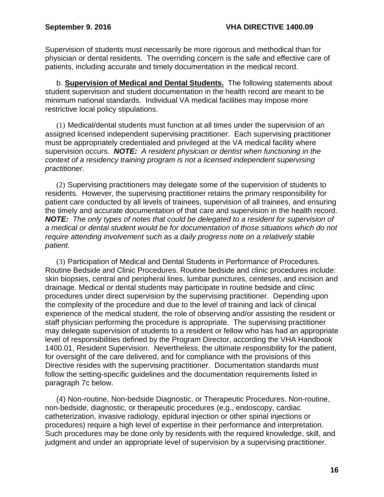Supervision of students must necessarily be more rigorous and methodical than for physician or dental residents. The overriding concern is the safe and effective care of patients, including accurate and timely documentation in the medical record.

b. **Supervision of Medical and Dental Students.** The following statements about student supervision and student documentation in the health record are meant to be minimum national standards. Individual VA medical facilities may impose more restrictive local policy stipulations.

(1) Medical/dental students must function at all times under the supervision of an assigned licensed independent supervising practitioner. Each supervising practitioner must be appropriately credentialed and privileged at the VA medical facility where supervision occurs. *NOTE: A resident physician or dentist when functioning in the context of a residency training program is not a licensed independent supervising practitioner.* 

(2) Supervising practitioners may delegate some of the supervision of students to residents. However, the supervising practitioner retains the primary responsibility for patient care conducted by all levels of trainees, supervision of all trainees, and ensuring the timely and accurate documentation of that care and supervision in the health record. *NOTE: The only types of notes that could be delegated to a resident for supervision of a medical or dental student would be for documentation of those situations which do not require attending involvement such as a daily progress note on a relatively stable patient.* 

(3) Participation of Medical and Dental Students in Performance of Procedures. Routine Bedside and Clinic Procedures. Routine bedside and clinic procedures include: skin biopsies, central and peripheral lines, lumbar punctures, centeses, and incision and drainage. Medical or dental students may participate in routine bedside and clinic procedures under direct supervision by the supervising practitioner. Depending upon the complexity of the procedure and due to the level of training and lack of clinical experience of the medical student, the role of observing and/or assisting the resident or staff physician performing the procedure is appropriate. The supervising practitioner may delegate supervision of students to a resident or fellow who has had an appropriate level of responsibilities defined by the Program Director, according the VHA Handbook 1400.01, Resident Supervision. Nevertheless, the ultimate responsibility for the patient, for oversight of the care delivered, and for compliance with the provisions of this Directive resides with the supervising practitioner. Documentation standards must follow the setting-specific guidelines and the documentation requirements listed in paragraph 7c below.

(4) Non-routine, Non-bedside Diagnostic, or Therapeutic Procedures. Non-routine, non-bedside, diagnostic, or therapeutic procedures (e.g., endoscopy, cardiac catheterization, invasive radiology, epidural injection or other spinal injections or procedures) require a high level of expertise in their performance and interpretation. Such procedures may be done only by residents with the required knowledge, skill, and judgment and under an appropriate level of supervision by a supervising practitioner.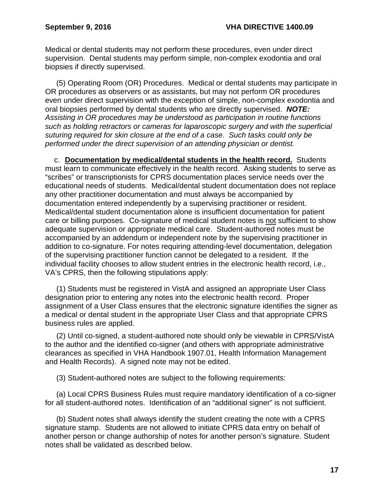Medical or dental students may not perform these procedures, even under direct supervision. Dental students may perform simple, non-complex exodontia and oral biopsies if directly supervised.

(5) Operating Room (OR) Procedures. Medical or dental students may participate in OR procedures as observers or as assistants, but may not perform OR procedures even under direct supervision with the exception of simple, non-complex exodontia and oral biopsies performed by dental students who are directly supervised. *NOTE: Assisting in OR procedures may be understood as participation in routine functions such as holding retractors or cameras for laparoscopic surgery and with the superficial suturing required for skin closure at the end of a case. Such tasks could only be performed under the direct supervision of an attending physician or dentist.*

c. **Documentation by medical/dental students in the health record.** Students must learn to communicate effectively in the health record. Asking students to serve as "scribes" or transcriptionists for CPRS documentation places service needs over the educational needs of students. Medical/dental student documentation does not replace any other practitioner documentation and must always be accompanied by documentation entered independently by a supervising practitioner or resident. Medical/dental student documentation alone is insufficient documentation for patient care or billing purposes. Co-signature of medical student notes is not sufficient to show adequate supervision or appropriate medical care. Student-authored notes must be accompanied by an addendum or independent note by the supervising practitioner in addition to co-signature. For notes requiring attending-level documentation, delegation of the supervising practitioner function cannot be delegated to a resident. If the individual facility chooses to allow student entries in the electronic health record, i.e., VA's CPRS, then the following stipulations apply:

(1) Students must be registered in VistA and assigned an appropriate User Class designation prior to entering any notes into the electronic health record. Proper assignment of a User Class ensures that the electronic signature identifies the signer as a medical or dental student in the appropriate User Class and that appropriate CPRS business rules are applied.

(2) Until co-signed, a student-authored note should only be viewable in CPRS/VistA to the author and the identified co-signer (and others with appropriate administrative clearances as specified in VHA Handbook 1907.01, Health Information Management and Health Records). A signed note may not be edited.

(3) Student-authored notes are subject to the following requirements:

(a) Local CPRS Business Rules must require mandatory identification of a co-signer for all student-authored notes. Identification of an "additional signer" is not sufficient.

(b) Student notes shall always identify the student creating the note with a CPRS signature stamp. Students are not allowed to initiate CPRS data entry on behalf of another person or change authorship of notes for another person's signature. Student notes shall be validated as described below.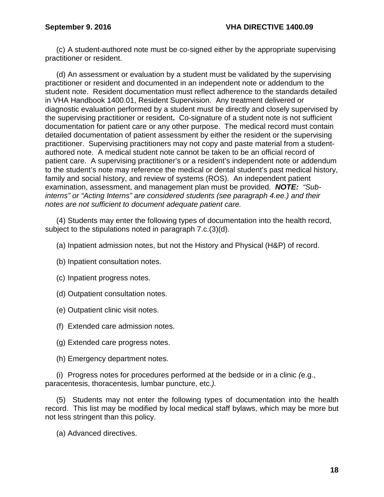(c) A student-authored note must be co-signed either by the appropriate supervising practitioner or resident.

(d) An assessment or evaluation by a student must be validated by the supervising practitioner or resident and documented in an independent note or addendum to the student note. Resident documentation must reflect adherence to the standards detailed in VHA Handbook 1400.01, Resident Supervision. Any treatment delivered or diagnostic evaluation performed by a student must be directly and closely supervised by the supervising practitioner or resident**.** Co-signature of a student note is not sufficient documentation for patient care or any other purpose. The medical record must contain detailed documentation of patient assessment by either the resident or the supervising practitioner. Supervising practitioners may not copy and paste material from a studentauthored note. A medical student note cannot be taken to be an official record of patient care. A supervising practitioner's or a resident's independent note or addendum to the student's note may reference the medical or dental student's past medical history, family and social history, and review of systems (ROS). An independent patient examination, assessment, and management plan must be provided*. NOTE: "Subinterns" or "Acting Interns" are considered students (see paragraph 4.ee.) and their notes are not sufficient to document adequate patient care.*

(4) Students may enter the following types of documentation into the health record, subject to the stipulations noted in paragraph 7.c.(3)(d).

- (a) Inpatient admission notes, but not the History and Physical (H&P) of record.
- (b) Inpatient consultation notes.
- (c) Inpatient progress notes.
- (d) Outpatient consultation notes.
- (e) Outpatient clinic visit notes.
- (f) Extended care admission notes.
- (g) Extended care progress notes.
- (h) Emergency department notes.

(i) Progress notes for procedures performed at the bedside or in a clinic *(*e.g., paracentesis, thoracentesis, lumbar puncture, etc.*).*

(5) Students may not enter the following types of documentation into the health record. This list may be modified by local medical staff bylaws, which may be more but not less stringent than this policy.

(a) Advanced directives.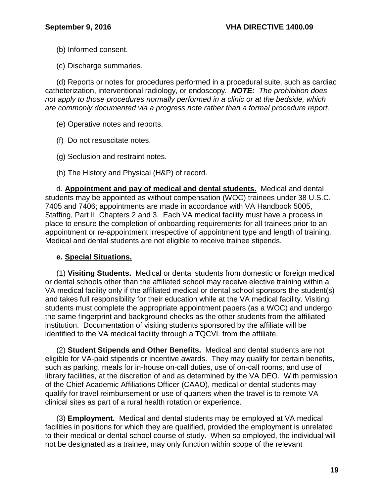- (b) Informed consent.
- (c) Discharge summaries.

(d) Reports or notes for procedures performed in a procedural suite, such as cardiac catheterization, interventional radiology, or endoscopy*. NOTE: The prohibition does not apply to those procedures normally performed in a clinic or at the bedside, which are commonly documented via a progress note rather than a formal procedure report.*

- (e) Operative notes and reports.
- (f) Do not resuscitate notes.
- (g) Seclusion and restraint notes.
- (h) The History and Physical (H&P) of record.

d. **Appointment and pay of medical and dental students.** Medical and dental students may be appointed as without compensation (WOC) trainees under 38 U.S.C. 7405 and 7406; appointments are made in accordance with VA Handbook 5005, Staffing, Part II, Chapters 2 and 3. Each VA medical facility must have a process in place to ensure the completion of onboarding requirements for all trainees prior to an appointment or re-appointment irrespective of appointment type and length of training. Medical and dental students are not eligible to receive trainee stipends.

#### **e. Special Situations.**

(1) **Visiting Students.** Medical or dental students from domestic or foreign medical or dental schools other than the affiliated school may receive elective training within a VA medical facility only if the affiliated medical or dental school sponsors the student(s) and takes full responsibility for their education while at the VA medical facility. Visiting students must complete the appropriate appointment papers (as a WOC) and undergo the same fingerprint and background checks as the other students from the affiliated institution. Documentation of visiting students sponsored by the affiliate will be identified to the VA medical facility through a TQCVL from the affiliate.

(2) **Student Stipends and Other Benefits.** Medical and dental students are not eligible for VA-paid stipends or incentive awards. They may qualify for certain benefits, such as parking, meals for in-house on-call duties, use of on-call rooms, and use of library facilities, at the discretion of and as determined by the VA DEO. With permission of the Chief Academic Affiliations Officer (CAAO), medical or dental students may qualify for travel reimbursement or use of quarters when the travel is to remote VA clinical sites as part of a rural health rotation or experience.

(3) **Employment.** Medical and dental students may be employed at VA medical facilities in positions for which they are qualified, provided the employment is unrelated to their medical or dental school course of study. When so employed, the individual will not be designated as a trainee, may only function within scope of the relevant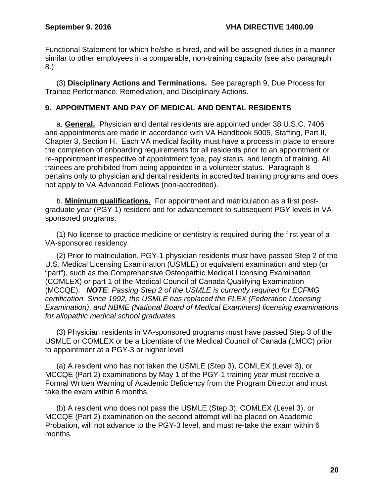Functional Statement for which he/she is hired, and will be assigned duties in a manner similar to other employees in a comparable, non-training capacity (see also paragraph 8.)

(3) **Disciplinary Actions and Terminations.** See paragraph 9, Due Process for Trainee Performance, Remediation, and Disciplinary Actions.

## <span id="page-22-0"></span>**9. APPOINTMENT AND PAY OF MEDICAL AND DENTAL RESIDENTS**

a. **General.** Physician and dental residents are appointed under 38 U.S.C. 7406 and appointments are made in accordance with VA Handbook 5005, Staffing, Part II, Chapter 3, Section H. Each VA medical facility must have a process in place to ensure the completion of onboarding requirements for all residents prior to an appointment or re-appointment irrespective of appointment type, pay status, and length of training. All trainees are prohibited from being appointed in a volunteer status. Paragraph 8 pertains only to physician and dental residents in accredited training programs and does not apply to VA Advanced Fellows (non-accredited).

b. **Minimum qualifications.** For appointment and matriculation as a first postgraduate year (PGY-1) resident and for advancement to subsequent PGY levels in VAsponsored programs:

(1) No license to practice medicine or dentistry is required during the first year of a VA-sponsored residency.

(2) Prior to matriculation, PGY-1 physician residents must have passed Step 2 of the U.S. Medical Licensing Examination (USMLE) or equivalent examination and step (or "part"), such as the Comprehensive Osteopathic Medical Licensing Examination (COMLEX) or part 1 of the Medical Council of Canada Qualifying Examination (MCCQE). *NOTE: Passing Step 2 of the USMLE is currently required for ECFMG certification. Since 1992, the USMLE has replaced the FLEX (Federation Licensing Examination)*, *and NBME (National Board of Medical Examiners) licensing examinations for allopathic medical school graduates.* 

(3) Physician residents in VA-sponsored programs must have passed Step 3 of the USMLE or COMLEX or be a Licentiate of the Medical Council of Canada (LMCC) prior to appointment at a PGY-3 or higher level

(a) A resident who has not taken the USMLE (Step 3), COMLEX (Level 3), or MCCQE (Part 2) examinations by May 1 of the PGY-1 training year must receive a Formal Written Warning of Academic Deficiency from the Program Director and must take the exam within 6 months.

(b) A resident who does not pass the USMLE (Step 3), COMLEX (Level 3), or MCCQE (Part 2) examination on the second attempt will be placed on Academic Probation, will not advance to the PGY-3 level, and must re-take the exam within 6 months.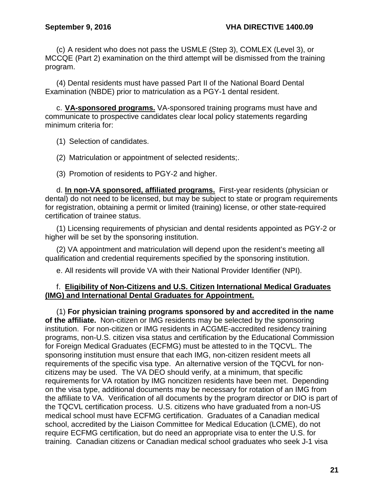(c) A resident who does not pass the USMLE (Step 3), COMLEX (Level 3), or MCCQE (Part 2) examination on the third attempt will be dismissed from the training program.

(4) Dental residents must have passed Part II of the National Board Dental Examination (NBDE) prior to matriculation as a PGY-1 dental resident.

c. **VA-sponsored programs.** VA-sponsored training programs must have and communicate to prospective candidates clear local policy statements regarding minimum criteria for:

(1) Selection of candidates.

(2) Matriculation or appointment of selected residents;.

(3) Promotion of residents to PGY-2 and higher.

d. **In non-VA sponsored, affiliated programs.** First-year residents (physician or dental) do not need to be licensed, but may be subject to state or program requirements for registration, obtaining a permit or limited (training) license, or other state-required certification of trainee status.

(1) Licensing requirements of physician and dental residents appointed as PGY-2 or higher will be set by the sponsoring institution.

(2) VA appointment and matriculation will depend upon the resident's meeting all qualification and credential requirements specified by the sponsoring institution.

e. All residents will provide VA with their National Provider Identifier (NPI).

### f. **Eligibility of Non-Citizens and U.S. Citizen International Medical Graduates (IMG) and International Dental Graduates for Appointment.**

(1) **For physician training programs sponsored by and accredited in the name of the affiliate.** Non-citizen or IMG residents may be selected by the sponsoring institution. For non-citizen or IMG residents in ACGME-accredited residency training programs, non-U.S. citizen visa status and certification by the Educational Commission for Foreign Medical Graduates (ECFMG) must be attested to in the TQCVL. The sponsoring institution must ensure that each IMG, non-citizen resident meets all requirements of the specific visa type. An alternative version of the TQCVL for noncitizens may be used. The VA DEO should verify, at a minimum, that specific requirements for VA rotation by IMG noncitizen residents have been met. Depending on the visa type, additional documents may be necessary for rotation of an IMG from the affiliate to VA. Verification of all documents by the program director or DIO is part of the TQCVL certification process. U.S. citizens who have graduated from a non-US medical school must have ECFMG certification. Graduates of a Canadian medical school, accredited by the Liaison Committee for Medical Education (LCME), do not require ECFMG certification, but do need an appropriate visa to enter the U.S. for training. Canadian citizens or Canadian medical school graduates who seek J-1 visa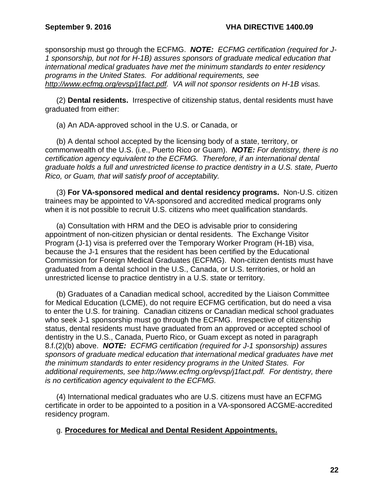sponsorship must go through the ECFMG. *NOTE: ECFMG certification (required for J-1 sponsorship, but not for H-1B) assures sponsors of graduate medical education that international medical graduates have met the minimum standards to enter residency programs in the United States. For additional requirements, see [http://www.ecfmg.org/evsp/j1fact.pdf.](http://www.ecfmg.org/evsp/j1fact.pdf) VA will not sponsor residents on H-1B visas.*

(2) **Dental residents.** Irrespective of citizenship status, dental residents must have graduated from either:

(a) An ADA-approved school in the U.S. or Canada, or

(b) A dental school accepted by the licensing body of a state, territory, or commonwealth of the U.S. (i.e., Puerto Rico or Guam). *NOTE: For dentistry, there is no certification agency equivalent to the ECFMG. Therefore, if an international dental graduate holds a full and unrestricted license to practice dentistry in a U.S. state, Puerto Rico, or Guam, that will satisfy proof of acceptability.*

(3) **For VA-sponsored medical and dental residency programs.** Non-U.S. citizen trainees may be appointed to VA-sponsored and accredited medical programs only when it is not possible to recruit U.S. citizens who meet qualification standards.

(a) Consultation with HRM and the DEO is advisable prior to considering appointment of non-citizen physician or dental residents. The Exchange Visitor Program (J-1) visa is preferred over the Temporary Worker Program (H-1B) visa, because the J-1 ensures that the resident has been certified by the Educational Commission for Foreign Medical Graduates (ECFMG). Non-citizen dentists must have graduated from a dental school in the U.S., Canada, or U.S. territories, or hold an unrestricted license to practice dentistry in a U.S. state or territory.

(b) Graduates of a Canadian medical school, accredited by the Liaison Committee for Medical Education (LCME), do not require ECFMG certification, but do need a visa to enter the U.S. for training. Canadian citizens or Canadian medical school graduates who seek J-1 sponsorship must go through the ECFMG. Irrespective of citizenship status, dental residents must have graduated from an approved or accepted school of dentistry in the U.S., Canada, Puerto Rico, or Guam except as noted in paragraph 8.f.(2)(b) above. *NOTE: ECFMG certification (required for J-1 sponsorship) assures sponsors of graduate medical education that international medical graduates have met the minimum standards to enter residency programs in the United States. For additional requirements, see [http://www.ecfmg.org/evsp/j1fact.pdf.](http://www.ecfmg.org/evsp/j1fact.pdf) For dentistry, there is no certification agency equivalent to the ECFMG.* 

(4) International medical graduates who are U.S. citizens must have an ECFMG certificate in order to be appointed to a position in a VA-sponsored ACGME-accredited residency program.

### g. **Procedures for Medical and Dental Resident Appointments.**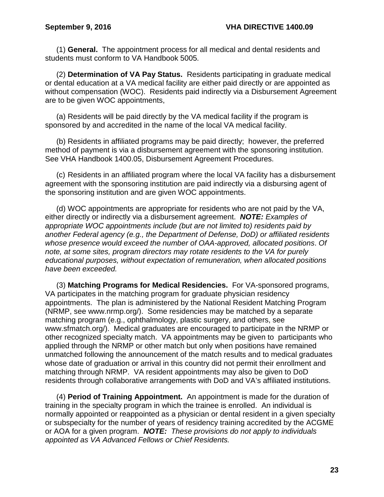(1) **General.** The appointment process for all medical and dental residents and students must conform to VA Handbook 5005.

(2) **Determination of VA Pay Status.** Residents participating in graduate medical or dental education at a VA medical facility are either paid directly or are appointed as without compensation (WOC). Residents paid indirectly via a Disbursement Agreement are to be given WOC appointments,

(a) Residents will be paid directly by the VA medical facility if the program is sponsored by and accredited in the name of the local VA medical facility.

(b) Residents in affiliated programs may be paid directly; however, the preferred method of payment is via a disbursement agreement with the sponsoring institution. See VHA Handbook 1400.05, Disbursement Agreement Procedures.

(c) Residents in an affiliated program where the local VA facility has a disbursement agreement with the sponsoring institution are paid indirectly via a disbursing agent of the sponsoring institution and are given WOC appointments.

(d) WOC appointments are appropriate for residents who are not paid by the VA, either directly or indirectly via a disbursement agreement. *NOTE: Examples of appropriate WOC appointments include (but are not limited to) residents paid by another Federal agency (e.g., the Department of Defense, DoD) or affiliated residents whose presence would exceed the number of OAA-approved, allocated positions*. *Of note, at some sites, program directors may rotate residents to the VA for purely educational purposes, without expectation of remuneration, when allocated positions have been exceeded.* 

(3) **Matching Programs for Medical Residencies.** For VA-sponsored programs, VA participates in the matching program for graduate physician residency appointments. The plan is administered by the National Resident Matching Program (NRMP, see www.nrmp.org/). Some residencies may be matched by a separate matching program (e.g., ophthalmology, plastic surgery, and others, see [www.sfmatch.org/\)](http://www.sfmatch.org/). Medical graduates are encouraged to participate in the NRMP or other recognized specialty match. VA appointments may be given to participants who applied through the NRMP or other match but only when positions have remained unmatched following the announcement of the match results and to medical graduates whose date of graduation or arrival in this country did not permit their enrollment and matching through NRMP. VA resident appointments may also be given to DoD residents through collaborative arrangements with DoD and VA's affiliated institutions.

(4) **Period of Training Appointment.** An appointment is made for the duration of training in the specialty program in which the trainee is enrolled. An individual is normally appointed or reappointed as a physician or dental resident in a given specialty or subspecialty for the number of years of residency training accredited by the ACGME or AOA for a given program. *NOTE: These provisions do not apply to individuals appointed as VA Advanced Fellows or Chief Residents.*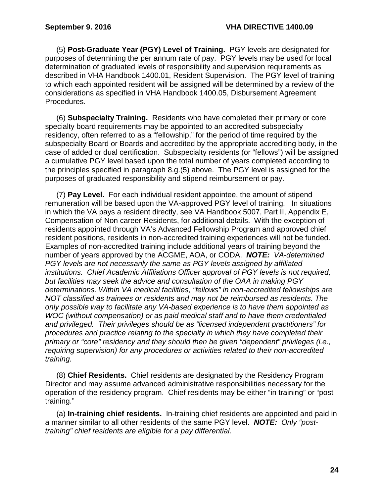(5) **Post-Graduate Year (PGY) Level of Training.** PGY levels are designated for purposes of determining the per annum rate of pay. PGY levels may be used for local determination of graduated levels of responsibility and supervision requirements as described in VHA Handbook 1400.01, Resident Supervision. The PGY level of training to which each appointed resident will be assigned will be determined by a review of the considerations as specified in VHA Handbook 1400.05, Disbursement Agreement Procedures.

(6) **Subspecialty Training.** Residents who have completed their primary or core specialty board requirements may be appointed to an accredited subspecialty residency, often referred to as a "fellowship," for the period of time required by the subspecialty Board or Boards and accredited by the appropriate accrediting body, in the case of added or dual certification. Subspecialty residents (or "fellows") will be assigned a cumulative PGY level based upon the total number of years completed according to the principles specified in paragraph 8.g.(5) above. The PGY level is assigned for the purposes of graduated responsibility and stipend reimbursement or pay.

(7) **Pay Level.** For each individual resident appointee, the amount of stipend remuneration will be based upon the VA-approved PGY level of training. In situations in which the VA pays a resident directly, see VA Handbook 5007, Part II, Appendix E, Compensation of Non career Residents, for additional details. With the exception of residents appointed through VA's Advanced Fellowship Program and approved chief resident positions, residents in non-accredited training experiences will not be funded. Examples of non-accredited training include additional years of training beyond the number of years approved by the ACGME, AOA, or CODA. *NOTE: VA-determined PGY levels are not necessarily the same as PGY levels assigned by affiliated institutions. Chief Academic Affiliations Officer approval of PGY levels is not required, but facilities may seek the advice and consultation of the OAA in making PGY determinations. Within VA medical facilities, "fellows" in non-accredited fellowships are NOT classified as trainees or residents and may not be reimbursed as residents. The only possible way to facilitate any VA-based experience is to have them appointed as WOC (without compensation) or as paid medical staff and to have them credentialed and privileged. Their privileges should be as "licensed independent practitioners" for procedures and practice relating to the specialty in which they have completed their primary or "core" residency and they should then be given "dependent" privileges (i.e., requiring supervision) for any procedures or activities related to their non-accredited training.*

(8) **Chief Residents.** Chief residents are designated by the Residency Program Director and may assume advanced administrative responsibilities necessary for the operation of the residency program. Chief residents may be either "in training" or "post training."

(a) **In-training chief residents.** In-training chief residents are appointed and paid in a manner similar to all other residents of the same PGY level. *NOTE: Only "posttraining" chief residents are eligible for a pay differential.*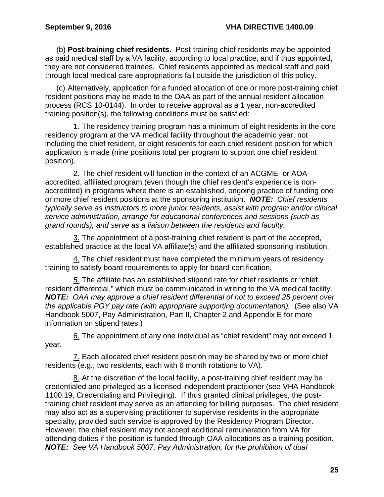(b) **Post-training chief residents.** Post-training chief residents may be appointed as paid medical staff by a VA facility, according to local practice, and if thus appointed, they are not considered trainees. Chief residents appointed as medical staff and paid through local medical care appropriations fall outside the jurisdiction of this policy.

(c) Alternatively, application for a funded allocation of one or more post-training chief resident positions may be made to the OAA as part of the annual resident allocation process (RCS 10-0144). In order to receive approval as a 1 year, non-accredited training position(s), the following conditions must be satisfied:

1. The residency training program has a minimum of eight residents in the core residency program at the VA medical facility throughout the academic year, not including the chief resident, or eight residents for each chief resident position for which application is made (nine positions total per program to support one chief resident position).

2. The chief resident will function in the context of an ACGME- or AOAaccredited, affiliated program (even though the chief resident's experience is nonaccredited) in programs where there is an established, ongoing practice of funding one or more chief resident positions at the sponsoring institution. *NOTE: Chief residents typically serve as instructors to more junior residents, assist with program and/or clinical service administration, arrange for educational conferences and sessions (such as grand rounds), and serve as a liaison between the residents and faculty.*

3. The appointment of a post-training chief resident is part of the accepted, established practice at the local VA affiliate(s) and the affiliated sponsoring institution.

4. The chief resident must have completed the minimum years of residency training to satisfy board requirements to apply for board certification.

*5.* The affiliate has an established stipend rate for chief residents or "chief resident differential," which must be communicated in writing to the VA medical facility. *NOTE: OAA may approve a chief resident differential of not to exceed 25 percent over the applicable PGY pay rate (with appropriate supporting documentation).* (See also VA Handbook 5007, Pay Administration, Part II, Chapter 2 and Appendix E for more information on stipend rates.)

6. The appointment of any one individual as "chief resident" may not exceed 1 year.

7. Each allocated chief resident position may be shared by two or more chief residents (e.g., two residents, each with 6 month rotations to VA).

8. At the discretion of the local facility, a post-training chief resident may be credentialed and privileged as a licensed independent practitioner (see VHA Handbook 1100.19, Credentialing and Privileging). If thus granted clinical privileges, the posttraining chief resident may serve as an attending for billing purposes. The chief resident may also act as a supervising practitioner to supervise residents in the appropriate specialty, provided such service is approved by the Residency Program Director. However, the chief resident may not accept additional remuneration from VA for attending duties if the position is funded through OAA allocations as a training position. *NOTE: See VA Handbook 5007, Pay Administration, for the prohibition of dual*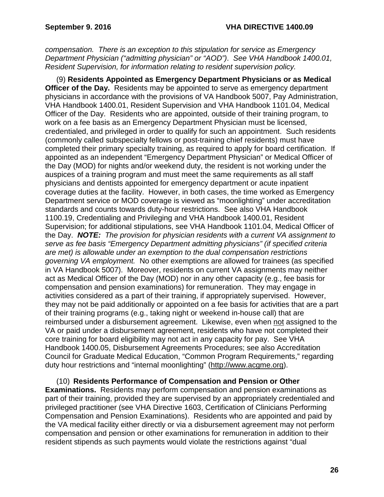*compensation. There is an exception to this stipulation for service as Emergency Department Physician ("admitting physician" or "AOD")*. *See VHA Handbook 1400.01, Resident Supervision, for information relating to resident supervision policy.*

(9) **Residents Appointed as Emergency Department Physicians or as Medical Officer of the Day.** Residents may be appointed to serve as emergency department physicians in accordance with the provisions of VA Handbook 5007, Pay Administration, VHA Handbook 1400.01, Resident Supervision and VHA Handbook 1101.04, Medical Officer of the Day. Residents who are appointed, outside of their training program, to work on a fee basis as an Emergency Department Physician must be licensed, credentialed, and privileged in order to qualify for such an appointment. Such residents (commonly called subspecialty fellows or post-training chief residents) must have completed their primary specialty training, as required to apply for board certification. If appointed as an independent "Emergency Department Physician" or Medical Officer of the Day (MOD) for nights and/or weekend duty, the resident is not working under the auspices of a training program and must meet the same requirements as all staff physicians and dentists appointed for emergency department or acute inpatient coverage duties at the facility. However, in both cases, the time worked as Emergency Department service or MOD coverage is viewed as "moonlighting" under accreditation standards and counts towards duty-hour restrictions. See also VHA Handbook 1100.19, Credentialing and Privileging and VHA Handbook 1400.01, Resident Supervision; for additional stipulations, see VHA Handbook 1101.04, Medical Officer of the Day. *NOTE: The provision for physician residents with a current VA assignment to serve as fee basis "Emergency Department admitting physicians" (if specified criteria are met) is allowable under an exemption to the dual compensation restrictions governing VA employment.* No other exemptions are allowed for trainees (as specified in VA Handbook 5007). Moreover, residents on current VA assignments may neither act as Medical Officer of the Day (MOD) nor in any other capacity (e.g., fee basis for compensation and pension examinations) for remuneration.They may engage in activities considered as a part of their training, if appropriately supervised. However, they may not be paid additionally or appointed on a fee basis for activities that are a part of their training programs (e.g., taking night or weekend in-house call) that are reimbursed under a disbursement agreement. Likewise, even when not assigned to the VA or paid under a disbursement agreement, residents who have not completed their core training for board eligibility may not act in any capacity for pay. See VHA Handbook 1400.05, Disbursement Agreements Procedures; see also Accreditation Council for Graduate Medical Education, "Common Program Requirements," regarding duty hour restrictions and "internal moonlighting" [\(http://www.acgme.org\)](http://www.acgme.org/).

(10) **Residents Performance of Compensation and Pension or Other Examinations.** Residents may perform compensation and pension examinations as part of their training, provided they are supervised by an appropriately credentialed and privileged practitioner (see VHA Directive 1603, Certification of Clinicians Performing Compensation and Pension Examinations). Residents who are appointed and paid by the VA medical facility either directly or via a disbursement agreement may not perform compensation and pension or other examinations for remuneration in addition to their resident stipends as such payments would violate the restrictions against "dual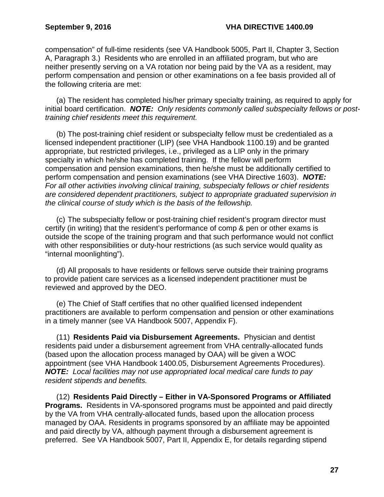compensation" of full-time residents (see VA Handbook 5005, Part II, Chapter 3, Section A, Paragraph 3.) Residents who are enrolled in an affiliated program, but who are neither presently serving on a VA rotation nor being paid by the VA as a resident, may perform compensation and pension or other examinations on a fee basis provided all of the following criteria are met:

(a) The resident has completed his/her primary specialty training, as required to apply for initial board certification. *NOTE: Only residents commonly called subspecialty fellows or posttraining chief residents meet this requirement.*

(b) The post-training chief resident or subspecialty fellow must be credentialed as a licensed independent practitioner (LIP) (see VHA Handbook 1100.19) and be granted appropriate, but restricted privileges, i.e., privileged as a LIP only in the primary specialty in which he/she has completed training. If the fellow will perform compensation and pension examinations, then he/she must be additionally certified to perform compensation and pension examinations (see VHA Directive 1603). *NOTE: For all other activities involving clinical training, subspecialty fellows or chief residents are considered dependent practitioners, subject to appropriate graduated supervision in the clinical course of study which is the basis of the fellowship.*

(c) The subspecialty fellow or post-training chief resident's program director must certify (in writing) that the resident's performance of comp & pen or other exams is outside the scope of the training program and that such performance would not conflict with other responsibilities or duty-hour restrictions (as such service would quality as "internal moonlighting").

(d) All proposals to have residents or fellows serve outside their training programs to provide patient care services as a licensed independent practitioner must be reviewed and approved by the DEO.

(e) The Chief of Staff certifies that no other qualified licensed independent practitioners are available to perform compensation and pension or other examinations in a timely manner (see VA Handbook 5007, Appendix F).

(11) **Residents Paid via Disbursement Agreements.** Physician and dentist residents paid under a disbursement agreement from VHA centrally-allocated funds (based upon the allocation process managed by OAA) will be given a WOC appointment (see VHA Handbook 1400.05, Disbursement Agreements Procedures). *NOTE: Local facilities may not use appropriated local medical care funds to pay resident stipends and benefits.* 

(12) **Residents Paid Directly – Either in VA-Sponsored Programs or Affiliated Programs.** Residents in VA-sponsored programs must be appointed and paid directly by the VA from VHA centrally-allocated funds, based upon the allocation process managed by OAA. Residents in programs sponsored by an affiliate may be appointed and paid directly by VA, although payment through a disbursement agreement is preferred. See VA Handbook 5007, Part II, Appendix E, for details regarding stipend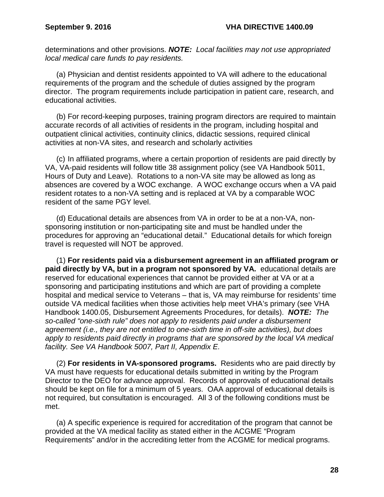determinations and other provisions. *NOTE: Local facilities may not use appropriated local medical care funds to pay residents.* 

(a) Physician and dentist residents appointed to VA will adhere to the educational requirements of the program and the schedule of duties assigned by the program director. The program requirements include participation in patient care, research, and educational activities.

(b) For record-keeping purposes, training program directors are required to maintain accurate records of all activities of residents in the program, including hospital and outpatient clinical activities, continuity clinics, didactic sessions, required clinical activities at non-VA sites, and research and scholarly activities

(c) In affiliated programs, where a certain proportion of residents are paid directly by VA, VA-paid residents will follow title 38 assignment policy (see VA Handbook 5011, Hours of Duty and Leave). Rotations to a non-VA site may be allowed as long as absences are covered by a WOC exchange. A WOC exchange occurs when a VA paid resident rotates to a non-VA setting and is replaced at VA by a comparable WOC resident of the same PGY level.

(d) Educational details are absences from VA in order to be at a non-VA, nonsponsoring institution or non-participating site and must be handled under the procedures for approving an "educational detail." Educational details for which foreign travel is requested will NOT be approved.

(1) **For residents paid via a disbursement agreement in an affiliated program or paid directly by VA, but in a program not sponsored by VA.** educational details are reserved for educational experiences that cannot be provided either at VA or at a sponsoring and participating institutions and which are part of providing a complete hospital and medical service to Veterans – that is, VA may reimburse for residents' time outside VA medical facilities when those activities help meet VHA's primary (see VHA Handbook 1400.05, Disbursement Agreements Procedures, for details). *NOTE: The so-called "one-sixth rule" does not apply to residents paid under a disbursement agreement (i.e., they are not entitled to one-sixth time in off-site activities), but does apply to residents paid directly in programs that are sponsored by the local VA medical facility. See VA Handbook 5007, Part II, Appendix E.* 

(2) **For residents in VA-sponsored programs.** Residents who are paid directly by VA must have requests for educational details submitted in writing by the Program Director to the DEO for advance approval. Records of approvals of educational details should be kept on file for a minimum of 5 years. OAA approval of educational details is not required, but consultation is encouraged. All 3 of the following conditions must be met.

(a) A specific experience is required for accreditation of the program that cannot be provided at the VA medical facility as stated either in the ACGME "Program Requirements" and/or in the accrediting letter from the ACGME for medical programs.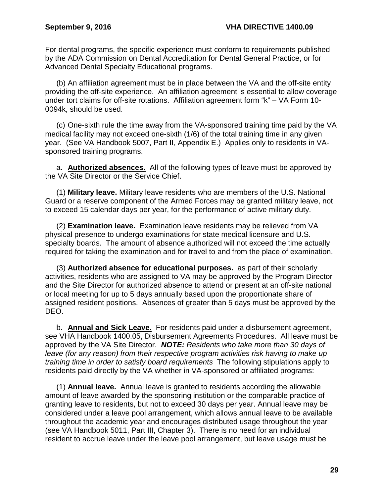For dental programs, the specific experience must conform to requirements published by the ADA Commission on Dental Accreditation for Dental General Practice, or for Advanced Dental Specialty Educational programs.

(b) An affiliation agreement must be in place between the VA and the off-site entity providing the off-site experience. An affiliation agreement is essential to allow coverage under tort claims for off-site rotations. Affiliation agreement form "k" – VA Form 10- 0094k, should be used.

(c) One-sixth rule the time away from the VA-sponsored training time paid by the VA medical facility may not exceed one-sixth (1/6) of the total training time in any given year. (See VA Handbook 5007, Part II, Appendix E.) Applies only to residents in VAsponsored training programs.

a. **Authorized absences.** All of the following types of leave must be approved by the VA Site Director or the Service Chief.

(1) **Military leave.** Military leave residents who are members of the U.S. National Guard or a reserve component of the Armed Forces may be granted military leave, not to exceed 15 calendar days per year, for the performance of active military duty.

(2) **Examination leave.** Examination leave residents may be relieved from VA physical presence to undergo examinations for state medical licensure and U.S. specialty boards. The amount of absence authorized will not exceed the time actually required for taking the examination and for travel to and from the place of examination.

(3) **Authorized absence for educational purposes.** as part of their scholarly activities, residents who are assigned to VA may be approved by the Program Director and the Site Director for authorized absence to attend or present at an off-site national or local meeting for up to 5 days annually based upon the proportionate share of assigned resident positions. Absences of greater than 5 days must be approved by the DEO.

b. **Annual and Sick Leave.** For residents paid under a disbursement agreement, see VHA Handbook 1400.05, Disbursement Agreements Procedures. All leave must be approved by the VA Site Director. *NOTE: Residents who take more than 30 days of leave (for any reason) from their respective program activities risk having to make up training time in order to satisfy board requirements* The following stipulations apply to residents paid directly by the VA whether in VA-sponsored or affiliated programs:

(1) **Annual leave.** Annual leave is granted to residents according the allowable amount of leave awarded by the sponsoring institution or the comparable practice of granting leave to residents, but not to exceed 30 days per year. Annual leave may be considered under a leave pool arrangement, which allows annual leave to be available throughout the academic year and encourages distributed usage throughout the year (see VA Handbook 5011, Part III, Chapter 3). There is no need for an individual resident to accrue leave under the leave pool arrangement, but leave usage must be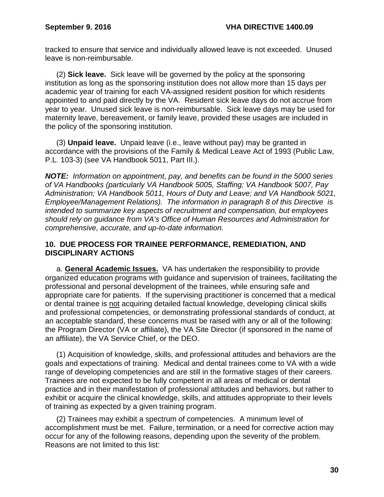tracked to ensure that service and individually allowed leave is not exceeded. Unused leave is non-reimbursable.

(2) **Sick leave.** Sick leave will be governed by the policy at the sponsoring institution as long as the sponsoring institution does not allow more than 15 days per academic year of training for each VA-assigned resident position for which residents appointed to and paid directly by the VA. Resident sick leave days do not accrue from year to year. Unused sick leave is non-reimbursable. Sick leave days may be used for maternity leave, bereavement, or family leave, provided these usages are included in the policy of the sponsoring institution.

(3) **Unpaid leave.** Unpaid leave (i.e., leave without pay) may be granted in accordance with the provisions of the Family & Medical Leave Act of 1993 (Public Law, P.L. 103-3) (see VA Handbook 5011, Part III.).

*NOTE: Information on appointment, pay, and benefits can be found in the 5000 series of VA Handbooks (particularly VA Handbook 5005, Staffing; VA Handbook 5007, Pay Administration; VA Handbook 5011, Hours of Duty and Leave; and VA Handbook 5021, Employee/Management Relations). The information in paragraph 8 of this Directive is intended to summarize key aspects of recruitment and compensation, but employees should rely on guidance from VA's Office of Human Resources and Administration for comprehensive, accurate, and up-to-date information.*

### <span id="page-32-0"></span>**10. DUE PROCESS FOR TRAINEE PERFORMANCE, REMEDIATION, AND DISCIPLINARY ACTIONS**

a. **General Academic Issues.** VA has undertaken the responsibility to provide organized education programs with guidance and supervision of trainees, facilitating the professional and personal development of the trainees, while ensuring safe and appropriate care for patients. If the supervising practitioner is concerned that a medical or dental trainee is not acquiring detailed factual knowledge, developing clinical skills and professional competencies, or demonstrating professional standards of conduct, at an acceptable standard, these concerns must be raised with any or all of the following: the Program Director (VA or affiliate), the VA Site Director (if sponsored in the name of an affiliate), the VA Service Chief, or the DEO.

(1) Acquisition of knowledge, skills, and professional attitudes and behaviors are the goals and expectations of training. Medical and dental trainees come to VA with a wide range of developing competencies and are still in the formative stages of their careers. Trainees are not expected to be fully competent in all areas of medical or dental practice and in their manifestation of professional attitudes and behaviors, but rather to exhibit or acquire the clinical knowledge, skills, and attitudes appropriate to their levels of training as expected by a given training program.

(2) Trainees may exhibit a spectrum of competencies. A minimum level of accomplishment must be met. Failure, termination, or a need for corrective action may occur for any of the following reasons, depending upon the severity of the problem. Reasons are not limited to this list: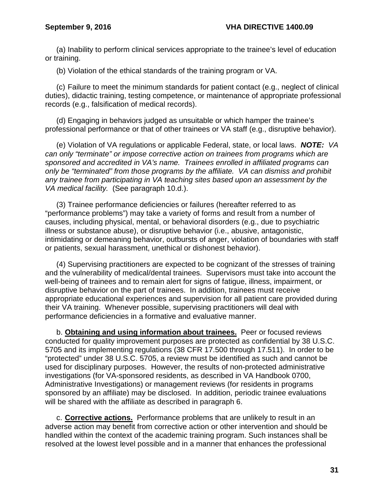(a) Inability to perform clinical services appropriate to the trainee's level of education or training.

(b) Violation of the ethical standards of the training program or VA.

(c) Failure to meet the minimum standards for patient contact (e.g., neglect of clinical duties), didactic training, testing competence, or maintenance of appropriate professional records (e.g., falsification of medical records).

(d) Engaging in behaviors judged as unsuitable or which hamper the trainee's professional performance or that of other trainees or VA staff (e.g., disruptive behavior).

(e) Violation of VA regulations or applicable Federal, state, or local laws. *NOTE: VA can only "terminate" or impose corrective action on trainees from programs which are sponsored and accredited in VA's name. Trainees enrolled in affiliated programs can only be "terminated" from those programs by the affiliate. VA can dismiss and prohibit any trainee from participating in VA teaching sites based upon an assessment by the VA medical facility.* (See paragraph 10.d.).

(3) Trainee performance deficiencies or failures (hereafter referred to as "performance problems") may take a variety of forms and result from a number of causes, including physical, mental, or behavioral disorders (e.g., due to psychiatric illness or substance abuse), or disruptive behavior (i.e., abusive, antagonistic, intimidating or demeaning behavior, outbursts of anger, violation of boundaries with staff or patients, sexual harassment, unethical or dishonest behavior).

(4) Supervising practitioners are expected to be cognizant of the stresses of training and the vulnerability of medical/dental trainees. Supervisors must take into account the well-being of trainees and to remain alert for signs of fatigue, illness, impairment, or disruptive behavior on the part of trainees. In addition, trainees must receive appropriate educational experiences and supervision for all patient care provided during their VA training. Whenever possible, supervising practitioners will deal with performance deficiencies in a formative and evaluative manner.

b. **Obtaining and using information about trainees.** Peer or focused reviews conducted for quality improvement purposes are protected as confidential by 38 U.S.C. 5705 and its implementing regulations (38 CFR 17.500 through 17.511). In order to be "protected" under 38 U.S.C. 5705, a review must be identified as such and cannot be used for disciplinary purposes. However, the results of non-protected administrative investigations (for VA-sponsored residents, as described in VA Handbook 0700, Administrative Investigations) or management reviews (for residents in programs sponsored by an affiliate) may be disclosed. In addition, periodic trainee evaluations will be shared with the affiliate as described in paragraph 6.

c. **Corrective actions.** Performance problems that are unlikely to result in an adverse action may benefit from corrective action or other intervention and should be handled within the context of the academic training program. Such instances shall be resolved at the lowest level possible and in a manner that enhances the professional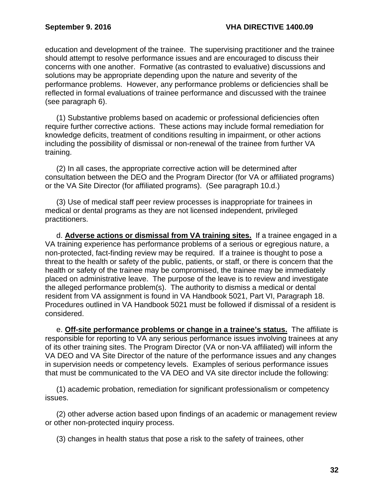education and development of the trainee. The supervising practitioner and the trainee should attempt to resolve performance issues and are encouraged to discuss their concerns with one another. Formative (as contrasted to evaluative) discussions and solutions may be appropriate depending upon the nature and severity of the performance problems. However, any performance problems or deficiencies shall be reflected in formal evaluations of trainee performance and discussed with the trainee (see paragraph 6).

(1) Substantive problems based on academic or professional deficiencies often require further corrective actions. These actions may include formal remediation for knowledge deficits, treatment of conditions resulting in impairment, or other actions including the possibility of dismissal or non-renewal of the trainee from further VA training.

(2) In all cases, the appropriate corrective action will be determined after consultation between the DEO and the Program Director (for VA or affiliated programs) or the VA Site Director (for affiliated programs). (See paragraph 10.d.)

(3) Use of medical staff peer review processes is inappropriate for trainees in medical or dental programs as they are not licensed independent, privileged practitioners.

d. **Adverse actions or dismissal from VA training sites.** If a trainee engaged in a VA training experience has performance problems of a serious or egregious nature, a non-protected, fact-finding review may be required. If a trainee is thought to pose a threat to the health or safety of the public, patients, or staff, or there is concern that the health or safety of the trainee may be compromised, the trainee may be immediately placed on administrative leave. The purpose of the leave is to review and investigate the alleged performance problem(s). The authority to dismiss a medical or dental resident from VA assignment is found in VA Handbook 5021, Part VI, Paragraph 18. Procedures outlined in VA Handbook 5021 must be followed if dismissal of a resident is considered.

e. **Off-site performance problems or change in a trainee's status.** The affiliate is responsible for reporting to VA any serious performance issues involving trainees at any of its other training sites. The Program Director (VA or non-VA affiliated) will inform the VA DEO and VA Site Director of the nature of the performance issues and any changes in supervision needs or competency levels. Examples of serious performance issues that must be communicated to the VA DEO and VA site director include the following:

(1) academic probation, remediation for significant professionalism or competency issues.

(2) other adverse action based upon findings of an academic or management review or other non-protected inquiry process.

(3) changes in health status that pose a risk to the safety of trainees, other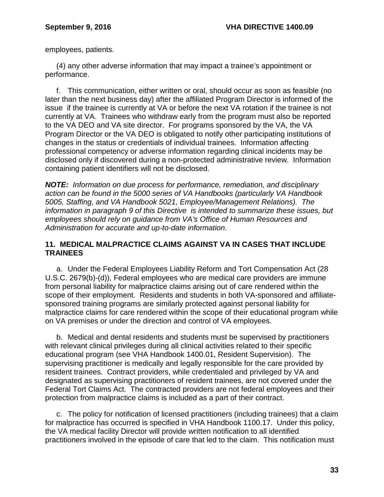employees, patients.

(4) any other adverse information that may impact a trainee's appointment or performance.

f. This communication, either written or oral, should occur as soon as feasible (no later than the next business day) after the affiliated Program Director is informed of the issue if the trainee is currently at VA or before the next VA rotation if the trainee is not currently at VA. Trainees who withdraw early from the program must also be reported to the VA DEO and VA site director. For programs sponsored by the VA, the VA Program Director or the VA DEO is obligated to notify other participating institutions of changes in the status or credentials of individual trainees. Information affecting professional competency or adverse information regarding clinical incidents may be disclosed only if discovered during a non-protected administrative review. Information containing patient identifiers will not be disclosed.

*NOTE: Information on due process for performance, remediation, and disciplinary action can be found in the 5000 series of VA Handbooks (particularly VA Handbook 5005, Staffing, and VA Handbook 5021, Employee/Management Relations). The information in paragraph 9 of this Directive is intended to summarize these issues, but employees should rely on guidance from VA's Office of Human Resources and Administration for accurate and up-to-date information.*

# <span id="page-35-0"></span>**11. MEDICAL MALPRACTICE CLAIMS AGAINST VA IN CASES THAT INCLUDE TRAINEES**

a. Under the Federal Employees Liability Reform and Tort Compensation Act (28 U.S.C. 2679(b)-(d)), Federal employees who are medical care providers are immune from personal liability for malpractice claims arising out of care rendered within the scope of their employment. Residents and students in both VA-sponsored and affiliatesponsored training programs are similarly protected against personal liability for malpractice claims for care rendered within the scope of their educational program while on VA premises or under the direction and control of VA employees.

b. Medical and dental residents and students must be supervised by practitioners with relevant clinical privileges during all clinical activities related to their specific educational program (see VHA Handbook 1400.01, Resident Supervision). The supervising practitioner is medically and legally responsible for the care provided by resident trainees. Contract providers, while credentialed and privileged by VA and designated as supervising practitioners of resident trainees, are not covered under the Federal Tort Claims Act. The contracted providers are not federal employees and their protection from malpractice claims is included as a part of their contract.

c. The policy for notification of licensed practitioners (including trainees) that a claim for malpractice has occurred is specified in VHA Handbook 1100.17. Under this policy, the VA medical facility Director will provide written notification to all identified practitioners involved in the episode of care that led to the claim. This notification must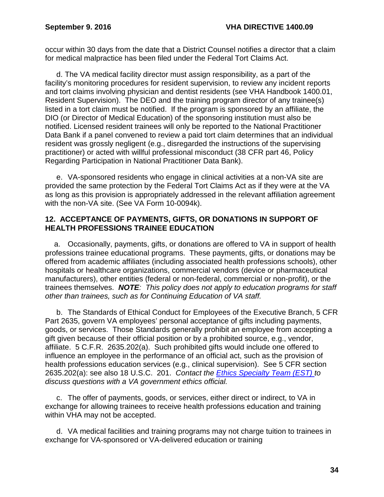occur within 30 days from the date that a District Counsel notifies a director that a claim for medical malpractice has been filed under the Federal Tort Claims Act.

d. The VA medical facility director must assign responsibility, as a part of the facility's monitoring procedures for resident supervision, to review any incident reports and tort claims involving physician and dentist residents (see VHA Handbook 1400.01, Resident Supervision). The DEO and the training program director of any trainee(s) listed in a tort claim must be notified. If the program is sponsored by an affiliate, the DIO (or Director of Medical Education) of the sponsoring institution must also be notified. Licensed resident trainees will only be reported to the National Practitioner Data Bank if a panel convened to review a paid tort claim determines that an individual resident was grossly negligent (e.g., disregarded the instructions of the supervising practitioner) or acted with willful professional misconduct (38 CFR part 46, Policy Regarding Participation in National Practitioner Data Bank).

e. VA-sponsored residents who engage in clinical activities at a non-VA site are provided the same protection by the Federal Tort Claims Act as if they were at the VA as long as this provision is appropriately addressed in the relevant affiliation agreement with the non-VA site. (See VA Form 10-0094k).

### <span id="page-36-0"></span>**12. ACCEPTANCE OF PAYMENTS, GIFTS, OR DONATIONS IN SUPPORT OF HEALTH PROFESSIONS TRAINEE EDUCATION**

a. Occasionally, payments, gifts, or donations are offered to VA in support of health professions trainee educational programs. These payments, gifts, or donations may be offered from academic affiliates (including associated health professions schools), other hospitals or healthcare organizations, commercial vendors (device or pharmaceutical manufacturers), other entities (federal or non-federal, commercial or non-profit), or the trainees themselves. *NOTE: This policy does not apply to education programs for staff other than trainees, such as for Continuing Education of VA staff.*

b. The Standards of Ethical Conduct for Employees of the Executive Branch, 5 CFR Part 2635, govern VA employees' personal acceptance of gifts including payments, goods, or services. Those Standards generally prohibit an employee from accepting a gift given because of their official position or by a prohibited source, e.g., vendor, affiliate. 5 C.F.R. 2635.202(a). Such prohibited gifts would include one offered to influence an employee in the performance of an official act, such as the provision of health professions education services (e.g., clinical supervision). See 5 CFR section 2635.202(a): see also 18 U.S.C. 201. *Contact the [Ethics Specialty Team \(EST\) t](http://www.va.gov/OGC/docs/Ethics/VA_Ethics_Officials_Contacts.pdf)o discuss questions with a VA government ethics official.*

c. The offer of payments, goods, or services, either direct or indirect, to VA in exchange for allowing trainees to receive health professions education and training within VHA may not be accepted.

d. VA medical facilities and training programs may not charge tuition to trainees in exchange for VA-sponsored or VA-delivered education or training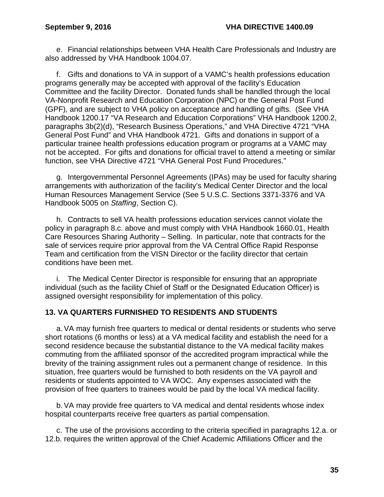e. Financial relationships between VHA Health Care Professionals and Industry are also addressed by VHA Handbook 1004.07.

f. Gifts and donations to VA in support of a VAMC's health professions education programs generally may be accepted with approval of the facility's Education Committee and the facility Director. Donated funds shall be handled through the local VA-Nonprofit Research and Education Corporation (NPC) or the General Post Fund (GPF), and are subject to VHA policy on acceptance and handling of gifts. (See VHA Handbook 1200.17 "VA Research and Education Corporations" VHA Handbook 1200.2, paragraphs 3b(2)(d), "Research Business Operations," and VHA Directive 4721 "VHA General Post Fund" and VHA Handbook 4721. Gifts and donations in support of a particular trainee health professions education program or programs at a VAMC may not be accepted. For gifts and donations for official travel to attend a meeting or similar function, see VHA Directive 4721 "VHA General Post Fund Procedures."

g. Intergovernmental Personnel Agreements (IPAs) may be used for faculty sharing arrangements with authorization of the facility's Medical Center Director and the local Human Resources Management Service (See 5 U.S.C. Sections 3371-3376 and VA Handbook 5005 on *Staffing*, Section C).

h. Contracts to sell VA health professions education services cannot violate the policy in paragraph 8.c. above and must comply with VHA Handbook 1660.01, Health Care Resources Sharing Authority – Selling. In particular, note that contracts for the sale of services require prior approval from the VA Central Office Rapid Response Team and certification from the VISN Director or the facility director that certain conditions have been met.

i. The Medical Center Director is responsible for ensuring that an appropriate individual (such as the facility Chief of Staff or the Designated Education Officer) is assigned oversight responsibility for implementation of this policy.

### <span id="page-37-0"></span>**13. VA QUARTERS FURNISHED TO RESIDENTS AND STUDENTS**

a.VA may furnish free quarters to medical or dental residents or students who serve short rotations (6 months or less) at a VA medical facility and establish the need for a second residence because the substantial distance to the VA medical facility makes commuting from the affiliated sponsor of the accredited program impractical while the brevity of the training assignment rules out a permanent change of residence. In this situation, free quarters would be furnished to both residents on the VA payroll and residents or students appointed to VA WOC. Any expenses associated with the provision of free quarters to trainees would be paid by the local VA medical facility.

b.VA may provide free quarters to VA medical and dental residents whose index hospital counterparts receive free quarters as partial compensation.

c. The use of the provisions according to the criteria specified in paragraphs 12.a. or 12.b. requires the written approval of the Chief Academic Affiliations Officer and the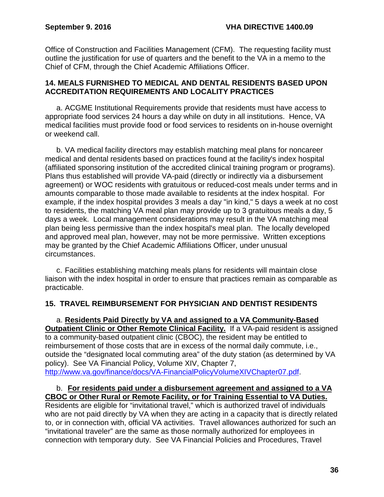Office of Construction and Facilities Management (CFM). The requesting facility must outline the justification for use of quarters and the benefit to the VA in a memo to the Chief of CFM, through the Chief Academic Affiliations Officer.

#### <span id="page-38-0"></span>**14. MEALS FURNISHED TO MEDICAL AND DENTAL RESIDENTS BASED UPON ACCREDITATION REQUIREMENTS AND LOCALITY PRACTICES**

a. ACGME Institutional Requirements provide that residents must have access to appropriate food services 24 hours a day while on duty in all institutions. Hence, VA medical facilities must provide food or food services to residents on in-house overnight or weekend call.

b. VA medical facility directors may establish matching meal plans for noncareer medical and dental residents based on practices found at the facility's index hospital (affiliated sponsoring institution of the accredited clinical training program or programs). Plans thus established will provide VA-paid (directly or indirectly via a disbursement agreement) or WOC residents with gratuitous or reduced-cost meals under terms and in amounts comparable to those made available to residents at the index hospital. For example, if the index hospital provides 3 meals a day "in kind," 5 days a week at no cost to residents, the matching VA meal plan may provide up to 3 gratuitous meals a day, 5 days a week. Local management considerations may result in the VA matching meal plan being less permissive than the index hospital's meal plan. The locally developed and approved meal plan, however, may not be more permissive. Written exceptions may be granted by the Chief Academic Affiliations Officer, under unusual circumstances.

c. Facilities establishing matching meals plans for residents will maintain close liaison with the index hospital in order to ensure that practices remain as comparable as practicable.

# <span id="page-38-1"></span>**15. TRAVEL REIMBURSEMENT FOR PHYSICIAN AND DENTIST RESIDENTS**

a. **Residents Paid Directly by VA and assigned to a VA Community-Based Outpatient Clinic or Other Remote Clinical Facility.** If a VA-paid resident is assigned to a community-based outpatient clinic (CBOC), the resident may be entitled to reimbursement of those costs that are in excess of the normal daily commute, i.e., outside the "designated local commuting area" of the duty station (as determined by VA policy). See VA Financial Policy, Volume XIV, Chapter 7, [http://www.va.gov/finance/docs/VA-FinancialPolicyVolumeXIVChapter07.pdf.](http://www.va.gov/finance/docs/VA-FinancialPolicyVolumeXIVChapter07.pdf)

## b. **For residents paid under a disbursement agreement and assigned to a VA CBOC or Other Rural or Remote Facility, or for Training Essential to VA Duties.**

Residents are eligible for "invitational travel," which is authorized travel of individuals who are not paid directly by VA when they are acting in a capacity that is directly related to, or in connection with, official VA activities. Travel allowances authorized for such an "invitational traveler" are the same as those normally authorized for employees in connection with temporary duty. See VA Financial Policies and Procedures, Travel